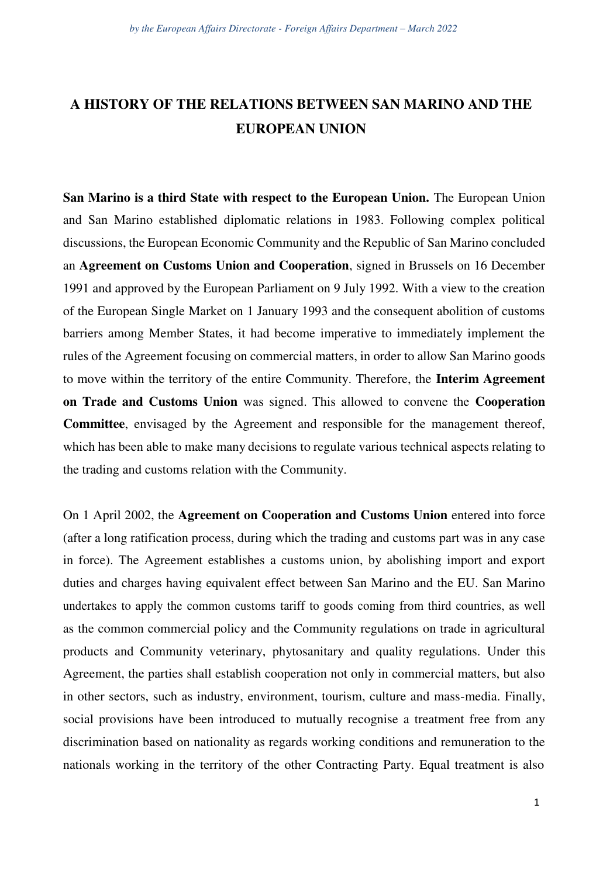## **A HISTORY OF THE RELATIONS BETWEEN SAN MARINO AND THE EUROPEAN UNION**

**San Marino is a third State with respect to the European Union.** The European Union and San Marino established diplomatic relations in 1983. Following complex political discussions, the European Economic Community and the Republic of San Marino concluded an **Agreement on Customs Union and Cooperation**, signed in Brussels on 16 December 1991 and approved by the European Parliament on 9 July 1992. With a view to the creation of the European Single Market on 1 January 1993 and the consequent abolition of customs barriers among Member States, it had become imperative to immediately implement the rules of the Agreement focusing on commercial matters, in order to allow San Marino goods to move within the territory of the entire Community. Therefore, the **Interim Agreement on Trade and Customs Union** was signed. This allowed to convene the **Cooperation Committee**, envisaged by the Agreement and responsible for the management thereof, which has been able to make many decisions to regulate various technical aspects relating to the trading and customs relation with the Community.

On 1 April 2002, the **Agreement on Cooperation and Customs Union** entered into force (after a long ratification process, during which the trading and customs part was in any case in force). The Agreement establishes a customs union, by abolishing import and export duties and charges having equivalent effect between San Marino and the EU. San Marino undertakes to apply the common customs tariff to goods coming from third countries, as well as the common commercial policy and the Community regulations on trade in agricultural products and Community veterinary, phytosanitary and quality regulations. Under this Agreement, the parties shall establish cooperation not only in commercial matters, but also in other sectors, such as industry, environment, tourism, culture and mass-media. Finally, social provisions have been introduced to mutually recognise a treatment free from any discrimination based on nationality as regards working conditions and remuneration to the nationals working in the territory of the other Contracting Party. Equal treatment is also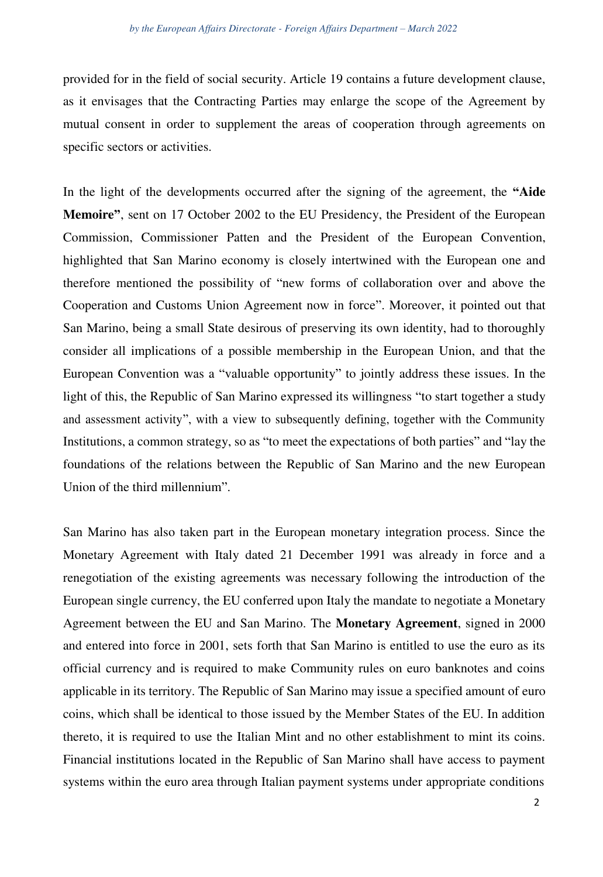provided for in the field of social security. Article 19 contains a future development clause, as it envisages that the Contracting Parties may enlarge the scope of the Agreement by mutual consent in order to supplement the areas of cooperation through agreements on specific sectors or activities.

In the light of the developments occurred after the signing of the agreement, the **"Aide Memoire"**, sent on 17 October 2002 to the EU Presidency, the President of the European Commission, Commissioner Patten and the President of the European Convention, highlighted that San Marino economy is closely intertwined with the European one and therefore mentioned the possibility of "new forms of collaboration over and above the Cooperation and Customs Union Agreement now in force". Moreover, it pointed out that San Marino, being a small State desirous of preserving its own identity, had to thoroughly consider all implications of a possible membership in the European Union, and that the European Convention was a "valuable opportunity" to jointly address these issues. In the light of this, the Republic of San Marino expressed its willingness "to start together a study and assessment activity", with a view to subsequently defining, together with the Community Institutions, a common strategy, so as "to meet the expectations of both parties" and "lay the foundations of the relations between the Republic of San Marino and the new European Union of the third millennium".

San Marino has also taken part in the European monetary integration process. Since the Monetary Agreement with Italy dated 21 December 1991 was already in force and a renegotiation of the existing agreements was necessary following the introduction of the European single currency, the EU conferred upon Italy the mandate to negotiate a Monetary Agreement between the EU and San Marino. The **Monetary Agreement**, signed in 2000 and entered into force in 2001, sets forth that San Marino is entitled to use the euro as its official currency and is required to make Community rules on euro banknotes and coins applicable in its territory. The Republic of San Marino may issue a specified amount of euro coins, which shall be identical to those issued by the Member States of the EU. In addition thereto, it is required to use the Italian Mint and no other establishment to mint its coins. Financial institutions located in the Republic of San Marino shall have access to payment systems within the euro area through Italian payment systems under appropriate conditions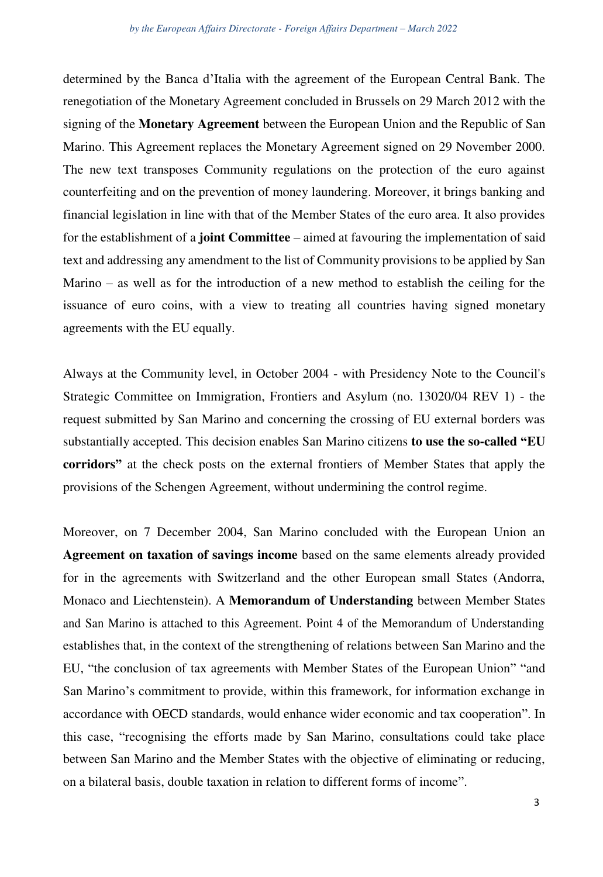determined by the Banca d'Italia with the agreement of the European Central Bank. The renegotiation of the Monetary Agreement concluded in Brussels on 29 March 2012 with the signing of the **Monetary Agreement** between the European Union and the Republic of San Marino. This Agreement replaces the Monetary Agreement signed on 29 November 2000. The new text transposes Community regulations on the protection of the euro against counterfeiting and on the prevention of money laundering. Moreover, it brings banking and financial legislation in line with that of the Member States of the euro area. It also provides for the establishment of a **joint Committee** – aimed at favouring the implementation of said text and addressing any amendment to the list of Community provisions to be applied by San Marino – as well as for the introduction of a new method to establish the ceiling for the issuance of euro coins, with a view to treating all countries having signed monetary agreements with the EU equally.

Always at the Community level, in October 2004 - with Presidency Note to the Council's Strategic Committee on Immigration, Frontiers and Asylum (no. 13020/04 REV 1) - the request submitted by San Marino and concerning the crossing of EU external borders was substantially accepted. This decision enables San Marino citizens **to use the so-called "EU corridors"** at the check posts on the external frontiers of Member States that apply the provisions of the Schengen Agreement, without undermining the control regime.

Moreover, on 7 December 2004, San Marino concluded with the European Union an **Agreement on taxation of savings income** based on the same elements already provided for in the agreements with Switzerland and the other European small States (Andorra, Monaco and Liechtenstein). A **Memorandum of Understanding** between Member States and San Marino is attached to this Agreement. Point 4 of the Memorandum of Understanding establishes that, in the context of the strengthening of relations between San Marino and the EU, "the conclusion of tax agreements with Member States of the European Union" "and San Marino's commitment to provide, within this framework, for information exchange in accordance with OECD standards, would enhance wider economic and tax cooperation". In this case, "recognising the efforts made by San Marino, consultations could take place between San Marino and the Member States with the objective of eliminating or reducing, on a bilateral basis, double taxation in relation to different forms of income".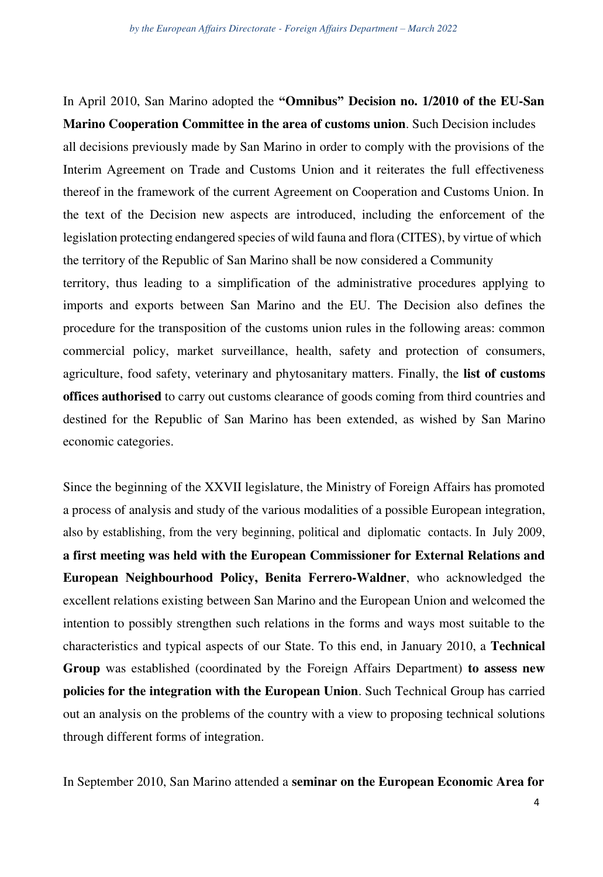In April 2010, San Marino adopted the **"Omnibus" Decision no. 1/2010 of the EU-San Marino Cooperation Committee in the area of customs union**. Such Decision includes all decisions previously made by San Marino in order to comply with the provisions of the Interim Agreement on Trade and Customs Union and it reiterates the full effectiveness thereof in the framework of the current Agreement on Cooperation and Customs Union. In the text of the Decision new aspects are introduced, including the enforcement of the legislation protecting endangered species of wild fauna and flora (CITES), by virtue of which the territory of the Republic of San Marino shall be now considered a Community territory, thus leading to a simplification of the administrative procedures applying to imports and exports between San Marino and the EU. The Decision also defines the procedure for the transposition of the customs union rules in the following areas: common commercial policy, market surveillance, health, safety and protection of consumers, agriculture, food safety, veterinary and phytosanitary matters. Finally, the **list of customs offices authorised** to carry out customs clearance of goods coming from third countries and destined for the Republic of San Marino has been extended, as wished by San Marino economic categories.

Since the beginning of the XXVII legislature, the Ministry of Foreign Affairs has promoted a process of analysis and study of the various modalities of a possible European integration, also by establishing, from the very beginning, political and diplomatic contacts. In July 2009, **a first meeting was held with the European Commissioner for External Relations and European Neighbourhood Policy, Benita Ferrero-Waldner**, who acknowledged the excellent relations existing between San Marino and the European Union and welcomed the intention to possibly strengthen such relations in the forms and ways most suitable to the characteristics and typical aspects of our State. To this end, in January 2010, a **Technical Group** was established (coordinated by the Foreign Affairs Department) **to assess new policies for the integration with the European Union**. Such Technical Group has carried out an analysis on the problems of the country with a view to proposing technical solutions through different forms of integration.

In September 2010, San Marino attended a **seminar on the European Economic Area for**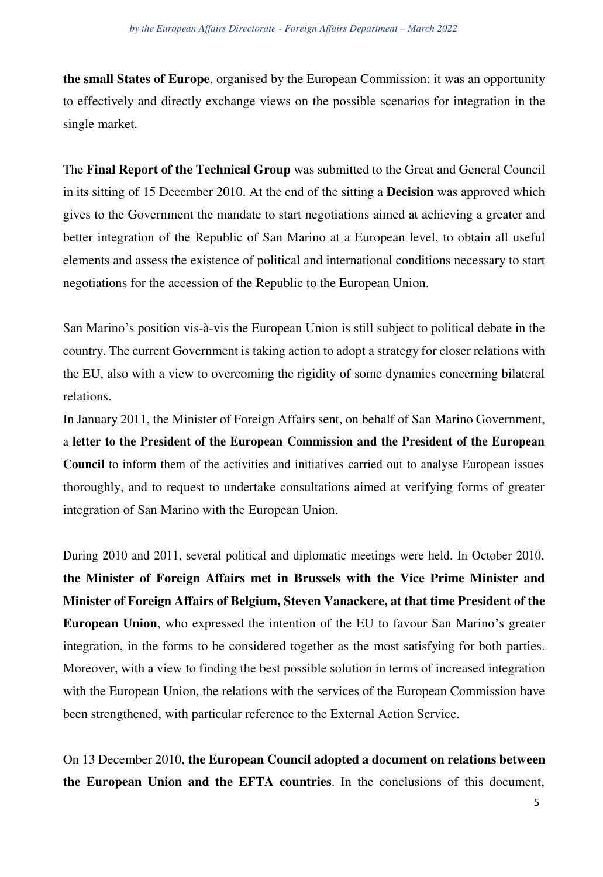**the small States of Europe**, organised by the European Commission: it was an opportunity to effectively and directly exchange views on the possible scenarios for integration in the single market.

The **Final Report of the Technical Group** was submitted to the Great and General Council in its sitting of 15 December 2010. At the end of the sitting a **Decision** was approved which gives to the Government the mandate to start negotiations aimed at achieving a greater and better integration of the Republic of San Marino at a European level, to obtain all useful elements and assess the existence of political and international conditions necessary to start negotiations for the accession of the Republic to the European Union.

San Marino's position vis-à-vis the European Union is still subject to political debate in the country. The current Government is taking action to adopt a strategy for closer relations with the EU, also with a view to overcoming the rigidity of some dynamics concerning bilateral relations.

In January 2011, the Minister of Foreign Affairs sent, on behalf of San Marino Government, a **letter to the President of the European Commission and the President of the European Council** to inform them of the activities and initiatives carried out to analyse European issues thoroughly, and to request to undertake consultations aimed at verifying forms of greater integration of San Marino with the European Union.

During 2010 and 2011, several political and diplomatic meetings were held. In October 2010, **the Minister of Foreign Affairs met in Brussels with the Vice Prime Minister and Minister of Foreign Affairs of Belgium, Steven Vanackere, at that time President of the European Union**, who expressed the intention of the EU to favour San Marino's greater integration, in the forms to be considered together as the most satisfying for both parties. Moreover, with a view to finding the best possible solution in terms of increased integration with the European Union, the relations with the services of the European Commission have been strengthened, with particular reference to the External Action Service.

On 13 December 2010, **the European Council adopted a document on relations between the European Union and the EFTA countries**. In the conclusions of this document,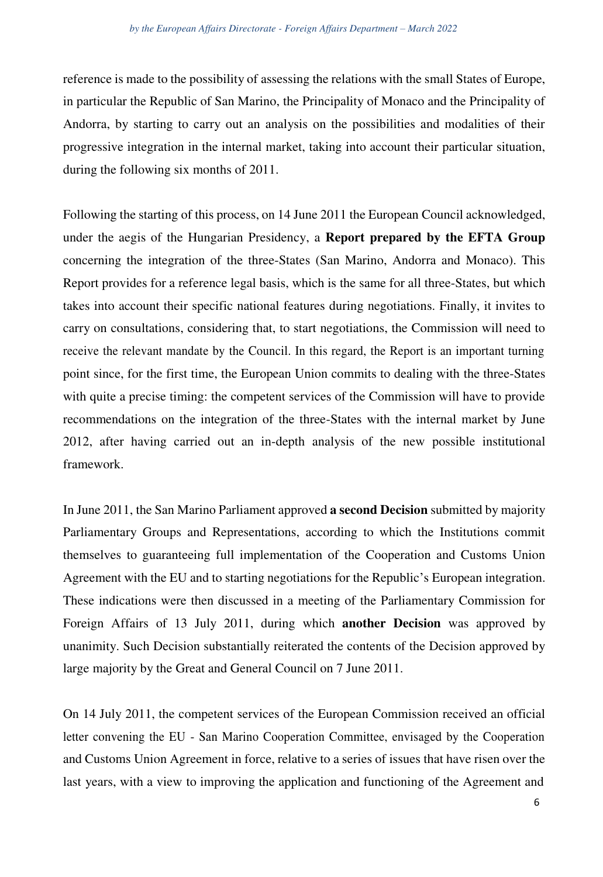reference is made to the possibility of assessing the relations with the small States of Europe, in particular the Republic of San Marino, the Principality of Monaco and the Principality of Andorra, by starting to carry out an analysis on the possibilities and modalities of their progressive integration in the internal market, taking into account their particular situation, during the following six months of 2011.

Following the starting of this process, on 14 June 2011 the European Council acknowledged, under the aegis of the Hungarian Presidency, a **Report prepared by the EFTA Group**  concerning the integration of the three-States (San Marino, Andorra and Monaco). This Report provides for a reference legal basis, which is the same for all three-States, but which takes into account their specific national features during negotiations. Finally, it invites to carry on consultations, considering that, to start negotiations, the Commission will need to receive the relevant mandate by the Council. In this regard, the Report is an important turning point since, for the first time, the European Union commits to dealing with the three-States with quite a precise timing: the competent services of the Commission will have to provide recommendations on the integration of the three-States with the internal market by June 2012, after having carried out an in-depth analysis of the new possible institutional framework.

In June 2011, the San Marino Parliament approved **a second Decision** submitted by majority Parliamentary Groups and Representations, according to which the Institutions commit themselves to guaranteeing full implementation of the Cooperation and Customs Union Agreement with the EU and to starting negotiations for the Republic's European integration. These indications were then discussed in a meeting of the Parliamentary Commission for Foreign Affairs of 13 July 2011, during which **another Decision** was approved by unanimity. Such Decision substantially reiterated the contents of the Decision approved by large majority by the Great and General Council on 7 June 2011.

On 14 July 2011, the competent services of the European Commission received an official letter convening the EU - San Marino Cooperation Committee, envisaged by the Cooperation and Customs Union Agreement in force, relative to a series of issues that have risen over the last years, with a view to improving the application and functioning of the Agreement and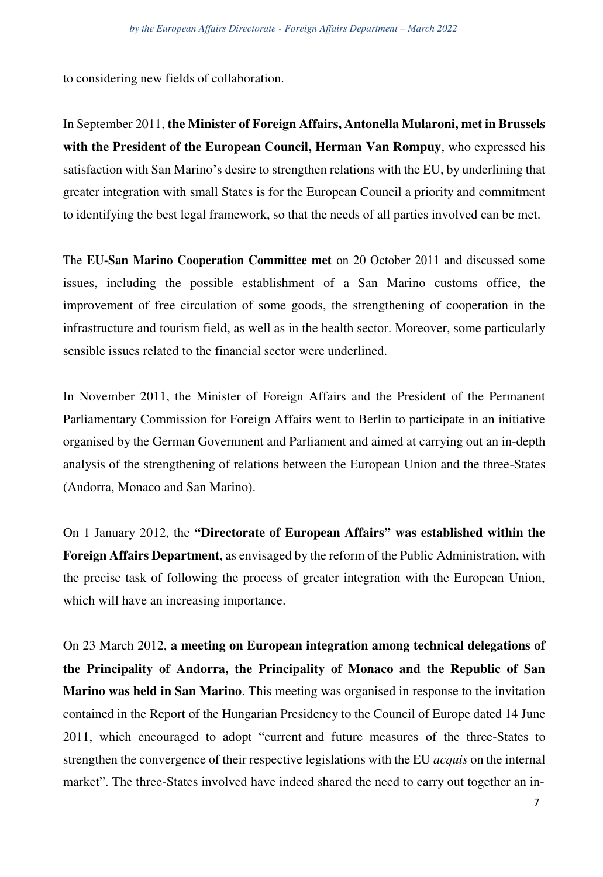to considering new fields of collaboration.

In September 2011, **the Minister of Foreign Affairs, Antonella Mularoni, met in Brussels with the President of the European Council, Herman Van Rompuy**, who expressed his satisfaction with San Marino's desire to strengthen relations with the EU, by underlining that greater integration with small States is for the European Council a priority and commitment to identifying the best legal framework, so that the needs of all parties involved can be met.

The **EU-San Marino Cooperation Committee met** on 20 October 2011 and discussed some issues, including the possible establishment of a San Marino customs office, the improvement of free circulation of some goods, the strengthening of cooperation in the infrastructure and tourism field, as well as in the health sector. Moreover, some particularly sensible issues related to the financial sector were underlined.

In November 2011, the Minister of Foreign Affairs and the President of the Permanent Parliamentary Commission for Foreign Affairs went to Berlin to participate in an initiative organised by the German Government and Parliament and aimed at carrying out an in-depth analysis of the strengthening of relations between the European Union and the three-States (Andorra, Monaco and San Marino).

On 1 January 2012, the **"Directorate of European Affairs" was established within the Foreign Affairs Department**, as envisaged by the reform of the Public Administration, with the precise task of following the process of greater integration with the European Union, which will have an increasing importance.

On 23 March 2012, **a meeting on European integration among technical delegations of the Principality of Andorra, the Principality of Monaco and the Republic of San Marino was held in San Marino**. This meeting was organised in response to the invitation contained in the Report of the Hungarian Presidency to the Council of Europe dated 14 June 2011, which encouraged to adopt "current and future measures of the three-States to strengthen the convergence of their respective legislations with the EU *acquis* on the internal market". The three-States involved have indeed shared the need to carry out together an in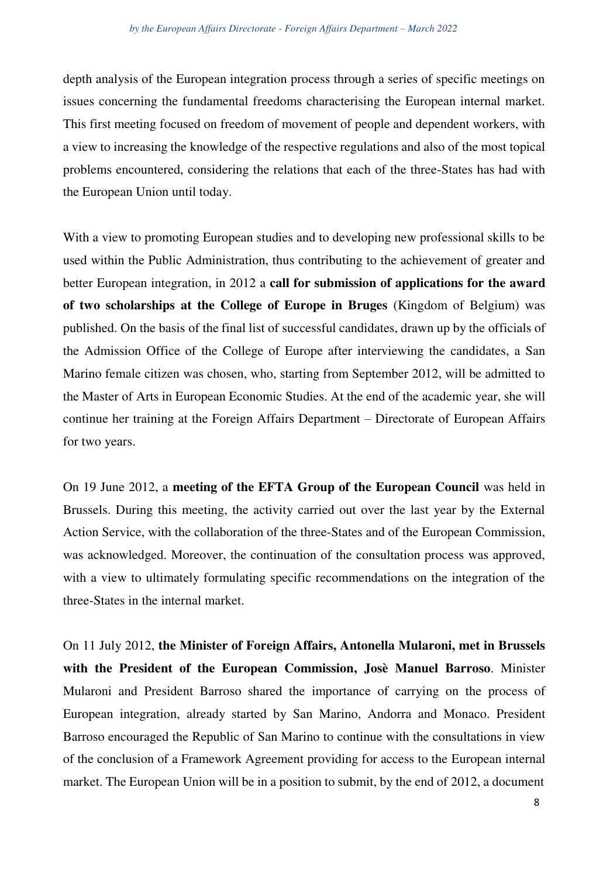depth analysis of the European integration process through a series of specific meetings on issues concerning the fundamental freedoms characterising the European internal market. This first meeting focused on freedom of movement of people and dependent workers, with a view to increasing the knowledge of the respective regulations and also of the most topical problems encountered, considering the relations that each of the three-States has had with the European Union until today.

With a view to promoting European studies and to developing new professional skills to be used within the Public Administration, thus contributing to the achievement of greater and better European integration, in 2012 a **call for submission of applications for the award of two scholarships at the College of Europe in Bruges** (Kingdom of Belgium) was published. On the basis of the final list of successful candidates, drawn up by the officials of the Admission Office of the College of Europe after interviewing the candidates, a San Marino female citizen was chosen, who, starting from September 2012, will be admitted to the Master of Arts in European Economic Studies. At the end of the academic year, she will continue her training at the Foreign Affairs Department – Directorate of European Affairs for two years.

On 19 June 2012, a **meeting of the EFTA Group of the European Council** was held in Brussels. During this meeting, the activity carried out over the last year by the External Action Service, with the collaboration of the three-States and of the European Commission, was acknowledged. Moreover, the continuation of the consultation process was approved, with a view to ultimately formulating specific recommendations on the integration of the three-States in the internal market.

On 11 July 2012, **the Minister of Foreign Affairs, Antonella Mularoni, met in Brussels with the President of the European Commission, Josè Manuel Barroso**. Minister Mularoni and President Barroso shared the importance of carrying on the process of European integration, already started by San Marino, Andorra and Monaco. President Barroso encouraged the Republic of San Marino to continue with the consultations in view of the conclusion of a Framework Agreement providing for access to the European internal market. The European Union will be in a position to submit, by the end of 2012, a document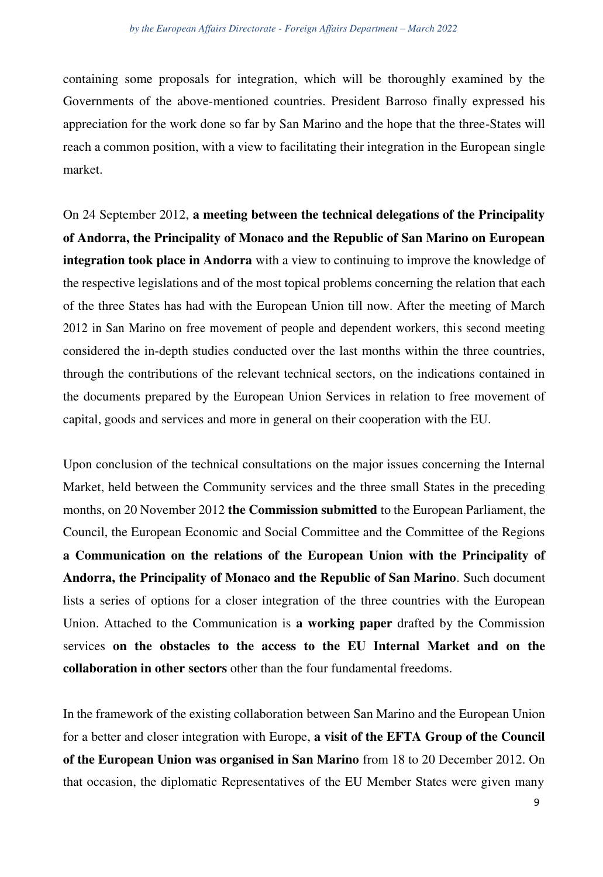containing some proposals for integration, which will be thoroughly examined by the Governments of the above-mentioned countries. President Barroso finally expressed his appreciation for the work done so far by San Marino and the hope that the three-States will reach a common position, with a view to facilitating their integration in the European single market.

On 24 September 2012, **a meeting between the technical delegations of the Principality of Andorra, the Principality of Monaco and the Republic of San Marino on European integration took place in Andorra** with a view to continuing to improve the knowledge of the respective legislations and of the most topical problems concerning the relation that each of the three States has had with the European Union till now. After the meeting of March 2012 in San Marino on free movement of people and dependent workers, this second meeting considered the in-depth studies conducted over the last months within the three countries, through the contributions of the relevant technical sectors, on the indications contained in the documents prepared by the European Union Services in relation to free movement of capital, goods and services and more in general on their cooperation with the EU.

Upon conclusion of the technical consultations on the major issues concerning the Internal Market, held between the Community services and the three small States in the preceding months, on 20 November 2012 **the Commission submitted** to the European Parliament, the Council, the European Economic and Social Committee and the Committee of the Regions **a Communication on the relations of the European Union with the Principality of Andorra, the Principality of Monaco and the Republic of San Marino**. Such document lists a series of options for a closer integration of the three countries with the European Union. Attached to the Communication is **a working paper** drafted by the Commission services **on the obstacles to the access to the EU Internal Market and on the collaboration in other sectors** other than the four fundamental freedoms.

In the framework of the existing collaboration between San Marino and the European Union for a better and closer integration with Europe, **a visit of the EFTA Group of the Council of the European Union was organised in San Marino** from 18 to 20 December 2012. On that occasion, the diplomatic Representatives of the EU Member States were given many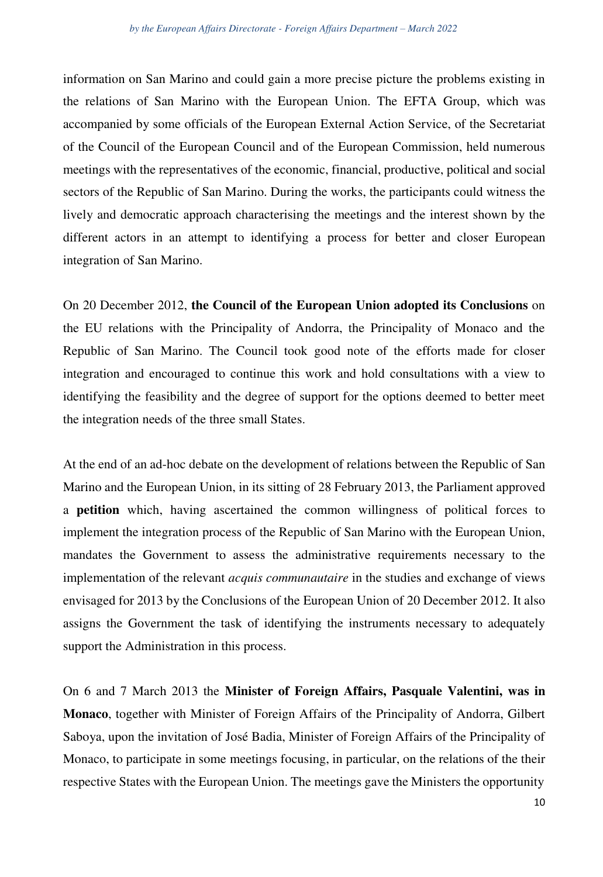## *by the European Affairs Directorate - Foreign Affairs Department - March 2022*

information on San Marino and could gain a more precise picture the problems existing in the relations of San Marino with the European Union. The EFTA Group, which was accompanied by some officials of the European External Action Service, of the Secretariat of the Council of the European Council and of the European Commission, held numerous meetings with the representatives of the economic, financial, productive, political and social sectors of the Republic of San Marino. During the works, the participants could witness the lively and democratic approach characterising the meetings and the interest shown by the different actors in an attempt to identifying a process for better and closer European integration of San Marino.

On 20 December 2012, **the Council of the European Union adopted its Conclusions** on the EU relations with the Principality of Andorra, the Principality of Monaco and the Republic of San Marino. The Council took good note of the efforts made for closer integration and encouraged to continue this work and hold consultations with a view to identifying the feasibility and the degree of support for the options deemed to better meet the integration needs of the three small States.

At the end of an ad-hoc debate on the development of relations between the Republic of San Marino and the European Union, in its sitting of 28 February 2013, the Parliament approved a **petition** which, having ascertained the common willingness of political forces to implement the integration process of the Republic of San Marino with the European Union, mandates the Government to assess the administrative requirements necessary to the implementation of the relevant *acquis communautaire* in the studies and exchange of views envisaged for 2013 by the Conclusions of the European Union of 20 December 2012. It also assigns the Government the task of identifying the instruments necessary to adequately support the Administration in this process.

On 6 and 7 March 2013 the **Minister of Foreign Affairs, Pasquale Valentini, was in Monaco**, together with Minister of Foreign Affairs of the Principality of Andorra, Gilbert Saboya, upon the invitation of José Badia, Minister of Foreign Affairs of the Principality of Monaco, to participate in some meetings focusing, in particular, on the relations of the their respective States with the European Union. The meetings gave the Ministers the opportunity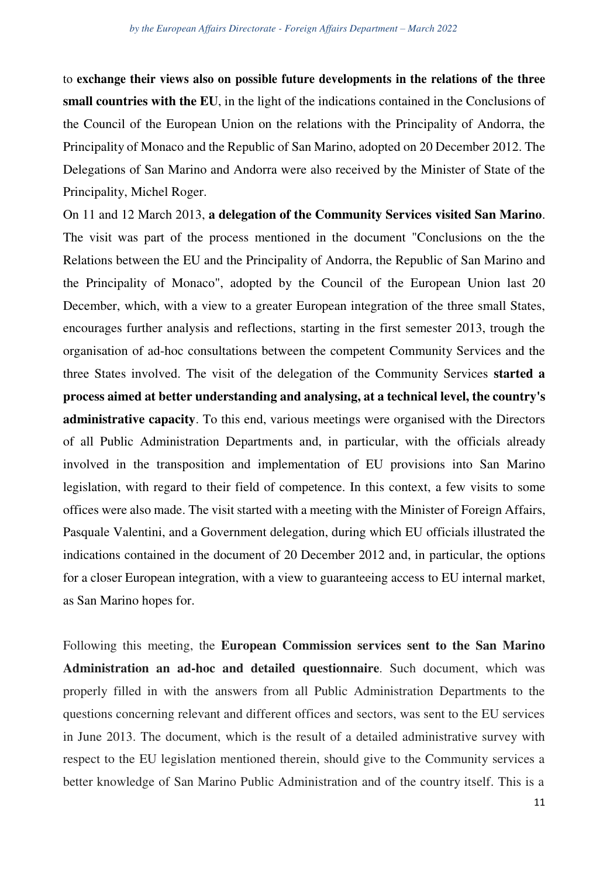to **exchange their views also on possible future developments in the relations of the three small countries with the EU**, in the light of the indications contained in the Conclusions of the Council of the European Union on the relations with the Principality of Andorra, the Principality of Monaco and the Republic of San Marino, adopted on 20 December 2012. The Delegations of San Marino and Andorra were also received by the Minister of State of the Principality, Michel Roger.

On 11 and 12 March 2013, **a delegation of the Community Services visited San Marino**. The visit was part of the process mentioned in the document "Conclusions on the the Relations between the EU and the Principality of Andorra, the Republic of San Marino and the Principality of Monaco", adopted by the Council of the European Union last 20 December, which, with a view to a greater European integration of the three small States, encourages further analysis and reflections, starting in the first semester 2013, trough the organisation of ad-hoc consultations between the competent Community Services and the three States involved. The visit of the delegation of the Community Services **started a process aimed at better understanding and analysing, at a technical level, the country's administrative capacity**. To this end, various meetings were organised with the Directors of all Public Administration Departments and, in particular, with the officials already involved in the transposition and implementation of EU provisions into San Marino legislation, with regard to their field of competence. In this context, a few visits to some offices were also made. The visit started with a meeting with the Minister of Foreign Affairs, Pasquale Valentini, and a Government delegation, during which EU officials illustrated the indications contained in the document of 20 December 2012 and, in particular, the options for a closer European integration, with a view to guaranteeing access to EU internal market, as San Marino hopes for.

Following this meeting, the **European Commission services sent to the San Marino Administration an ad-hoc and detailed questionnaire**. Such document, which was properly filled in with the answers from all Public Administration Departments to the questions concerning relevant and different offices and sectors, was sent to the EU services in June 2013. The document, which is the result of a detailed administrative survey with respect to the EU legislation mentioned therein, should give to the Community services a better knowledge of San Marino Public Administration and of the country itself. This is a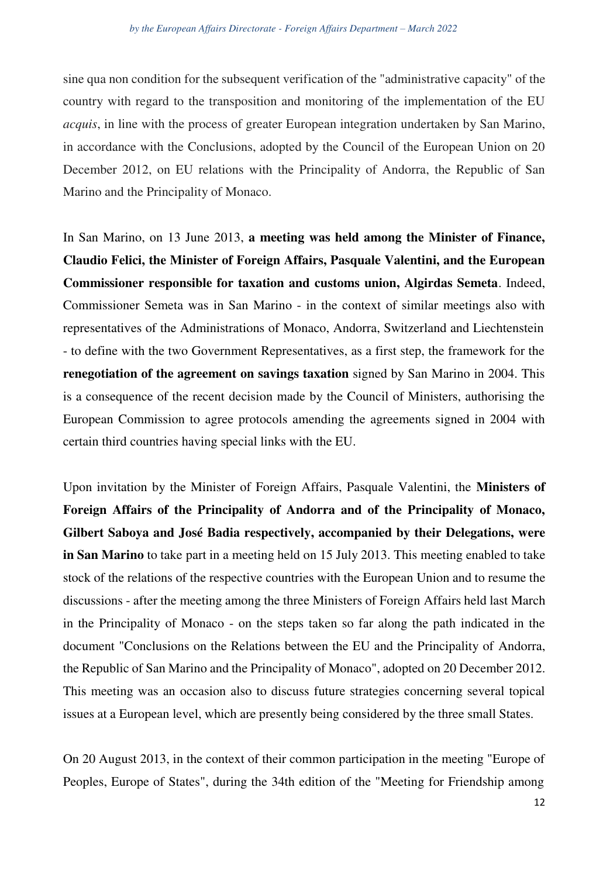sine qua non condition for the subsequent verification of the "administrative capacity" of the country with regard to the transposition and monitoring of the implementation of the EU *acquis*, in line with the process of greater European integration undertaken by San Marino, in accordance with the Conclusions, adopted by the Council of the European Union on 20 December 2012, on EU relations with the Principality of Andorra, the Republic of San Marino and the Principality of Monaco.

In San Marino, on 13 June 2013, **a meeting was held among the Minister of Finance, Claudio Felici, the Minister of Foreign Affairs, Pasquale Valentini, and the European Commissioner responsible for taxation and customs union, Algirdas Semeta**. Indeed, Commissioner Semeta was in San Marino - in the context of similar meetings also with representatives of the Administrations of Monaco, Andorra, Switzerland and Liechtenstein - to define with the two Government Representatives, as a first step, the framework for the **renegotiation of the agreement on savings taxation** signed by San Marino in 2004. This is a consequence of the recent decision made by the Council of Ministers, authorising the European Commission to agree protocols amending the agreements signed in 2004 with certain third countries having special links with the EU.

Upon invitation by the Minister of Foreign Affairs, Pasquale Valentini, the **Ministers of Foreign Affairs of the Principality of Andorra and of the Principality of Monaco, Gilbert Saboya and José Badia respectively, accompanied by their Delegations, were in San Marino** to take part in a meeting held on 15 July 2013. This meeting enabled to take stock of the relations of the respective countries with the European Union and to resume the discussions - after the meeting among the three Ministers of Foreign Affairs held last March in the Principality of Monaco - on the steps taken so far along the path indicated in the document "Conclusions on the Relations between the EU and the Principality of Andorra, the Republic of San Marino and the Principality of Monaco", adopted on 20 December 2012. This meeting was an occasion also to discuss future strategies concerning several topical issues at a European level, which are presently being considered by the three small States.

On 20 August 2013, in the context of their common participation in the meeting "Europe of Peoples, Europe of States", during the 34th edition of the "Meeting for Friendship among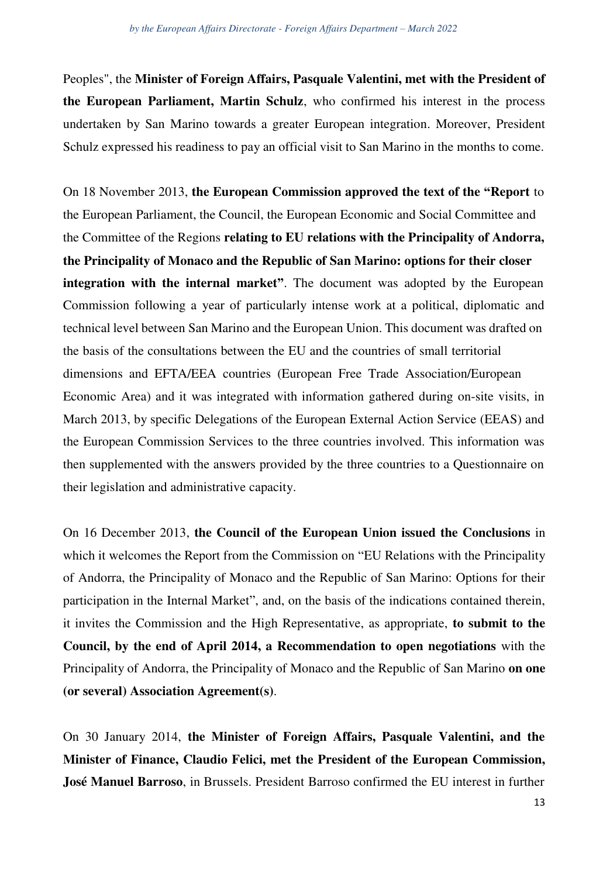Peoples", the **Minister of Foreign Affairs, Pasquale Valentini, met with the President of the European Parliament, Martin Schulz**, who confirmed his interest in the process undertaken by San Marino towards a greater European integration. Moreover, President Schulz expressed his readiness to pay an official visit to San Marino in the months to come.

On 18 November 2013, **the European Commission approved the text of the "Report** to the European Parliament, the Council, the European Economic and Social Committee and the Committee of the Regions **relating to EU relations with the Principality of Andorra, the Principality of Monaco and the Republic of San Marino: options for their closer integration with the internal market"**. The document was adopted by the European Commission following a year of particularly intense work at a political, diplomatic and technical level between San Marino and the European Union. This document was drafted on the basis of the consultations between the EU and the countries of small territorial dimensions and EFTA/EEA countries (European Free Trade Association/European Economic Area) and it was integrated with information gathered during on-site visits, in March 2013, by specific Delegations of the European External Action Service (EEAS) and the European Commission Services to the three countries involved. This information was then supplemented with the answers provided by the three countries to a Questionnaire on their legislation and administrative capacity.

On 16 December 2013, **the Council of the European Union issued the Conclusions** in which it welcomes the Report from the Commission on "EU Relations with the Principality of Andorra, the Principality of Monaco and the Republic of San Marino: Options for their participation in the Internal Market", and, on the basis of the indications contained therein, it invites the Commission and the High Representative, as appropriate, **to submit to the Council, by the end of April 2014, a Recommendation to open negotiations** with the Principality of Andorra, the Principality of Monaco and the Republic of San Marino **on one (or several) Association Agreement(s)**.

On 30 January 2014, **the Minister of Foreign Affairs, Pasquale Valentini, and the Minister of Finance, Claudio Felici, met the President of the European Commission, José Manuel Barroso**, in Brussels. President Barroso confirmed the EU interest in further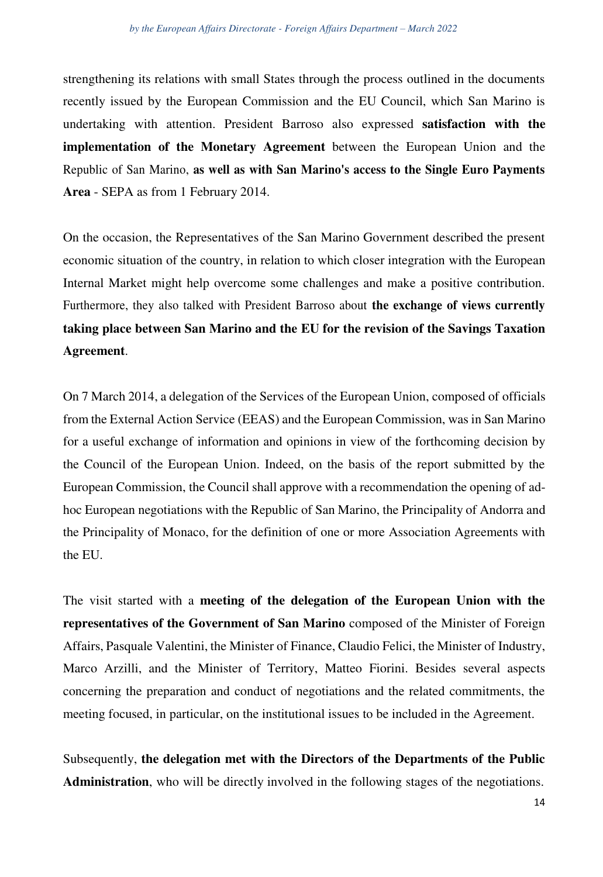strengthening its relations with small States through the process outlined in the documents recently issued by the European Commission and the EU Council, which San Marino is undertaking with attention. President Barroso also expressed **satisfaction with the implementation of the Monetary Agreement** between the European Union and the Republic of San Marino, **as well as with San Marino's access to the Single Euro Payments Area** - SEPA as from 1 February 2014.

On the occasion, the Representatives of the San Marino Government described the present economic situation of the country, in relation to which closer integration with the European Internal Market might help overcome some challenges and make a positive contribution. Furthermore, they also talked with President Barroso about **the exchange of views currently taking place between San Marino and the EU for the revision of the Savings Taxation Agreement**.

On 7 March 2014, a delegation of the Services of the European Union, composed of officials from the External Action Service (EEAS) and the European Commission, was in San Marino for a useful exchange of information and opinions in view of the forthcoming decision by the Council of the European Union. Indeed, on the basis of the report submitted by the European Commission, the Council shall approve with a recommendation the opening of adhoc European negotiations with the Republic of San Marino, the Principality of Andorra and the Principality of Monaco, for the definition of one or more Association Agreements with the EU.

The visit started with a **meeting of the delegation of the European Union with the representatives of the Government of San Marino** composed of the Minister of Foreign Affairs, Pasquale Valentini, the Minister of Finance, Claudio Felici, the Minister of Industry, Marco Arzilli, and the Minister of Territory, Matteo Fiorini. Besides several aspects concerning the preparation and conduct of negotiations and the related commitments, the meeting focused, in particular, on the institutional issues to be included in the Agreement.

Subsequently, **the delegation met with the Directors of the Departments of the Public Administration**, who will be directly involved in the following stages of the negotiations.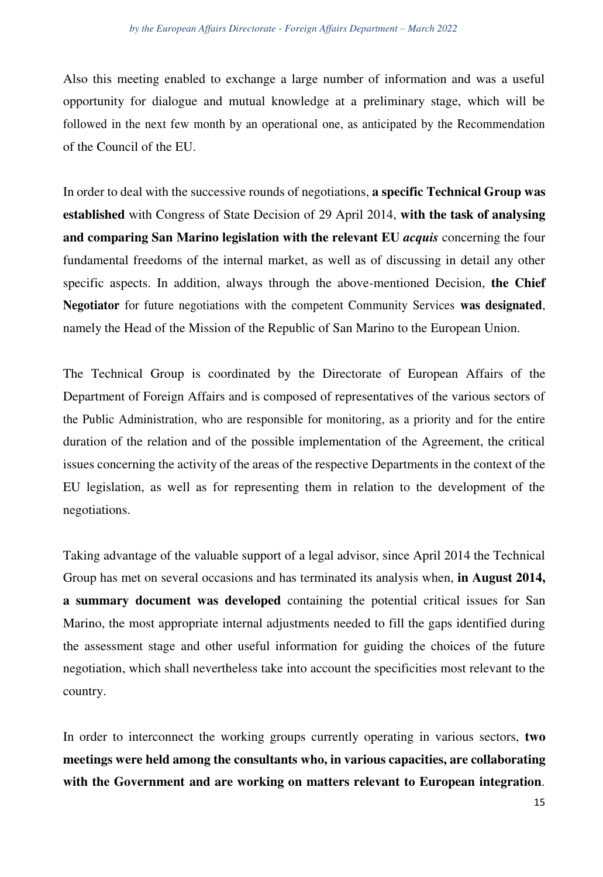Also this meeting enabled to exchange a large number of information and was a useful opportunity for dialogue and mutual knowledge at a preliminary stage, which will be followed in the next few month by an operational one, as anticipated by the Recommendation of the Council of the EU.

In order to deal with the successive rounds of negotiations, **a specific Technical Group was established** with Congress of State Decision of 29 April 2014, **with the task of analysing and comparing San Marino legislation with the relevant EU** *acquis* concerning the four fundamental freedoms of the internal market, as well as of discussing in detail any other specific aspects. In addition, always through the above-mentioned Decision, **the Chief Negotiator** for future negotiations with the competent Community Services **was designated**, namely the Head of the Mission of the Republic of San Marino to the European Union.

The Technical Group is coordinated by the Directorate of European Affairs of the Department of Foreign Affairs and is composed of representatives of the various sectors of the Public Administration, who are responsible for monitoring, as a priority and for the entire duration of the relation and of the possible implementation of the Agreement, the critical issues concerning the activity of the areas of the respective Departments in the context of the EU legislation, as well as for representing them in relation to the development of the negotiations.

Taking advantage of the valuable support of a legal advisor, since April 2014 the Technical Group has met on several occasions and has terminated its analysis when, **in August 2014, a summary document was developed** containing the potential critical issues for San Marino, the most appropriate internal adjustments needed to fill the gaps identified during the assessment stage and other useful information for guiding the choices of the future negotiation, which shall nevertheless take into account the specificities most relevant to the country.

In order to interconnect the working groups currently operating in various sectors, **two meetings were held among the consultants who, in various capacities, are collaborating with the Government and are working on matters relevant to European integration**.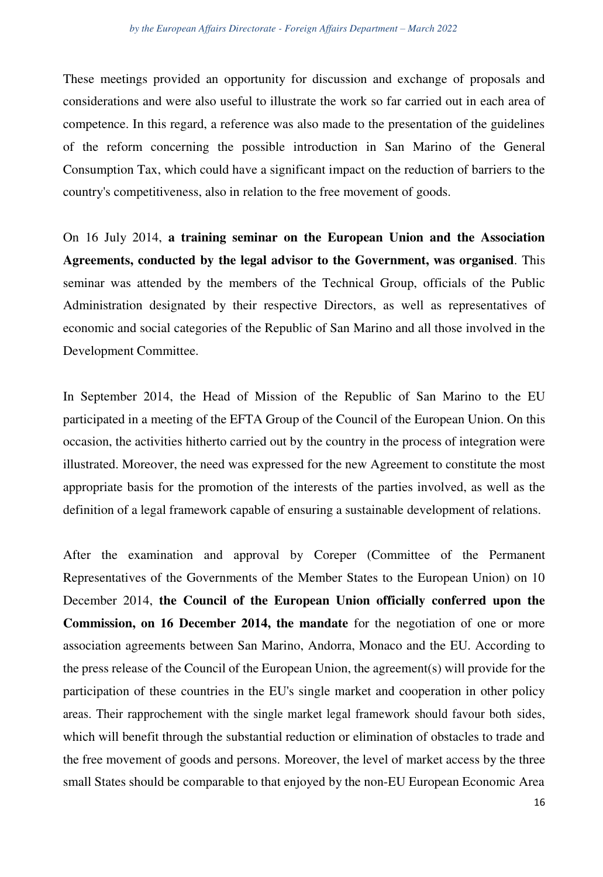These meetings provided an opportunity for discussion and exchange of proposals and considerations and were also useful to illustrate the work so far carried out in each area of competence. In this regard, a reference was also made to the presentation of the guidelines of the reform concerning the possible introduction in San Marino of the General Consumption Tax, which could have a significant impact on the reduction of barriers to the country's competitiveness, also in relation to the free movement of goods.

On 16 July 2014, **a training seminar on the European Union and the Association Agreements, conducted by the legal advisor to the Government, was organised**. This seminar was attended by the members of the Technical Group, officials of the Public Administration designated by their respective Directors, as well as representatives of economic and social categories of the Republic of San Marino and all those involved in the Development Committee.

In September 2014, the Head of Mission of the Republic of San Marino to the EU participated in a meeting of the EFTA Group of the Council of the European Union. On this occasion, the activities hitherto carried out by the country in the process of integration were illustrated. Moreover, the need was expressed for the new Agreement to constitute the most appropriate basis for the promotion of the interests of the parties involved, as well as the definition of a legal framework capable of ensuring a sustainable development of relations.

After the examination and approval by Coreper (Committee of the Permanent Representatives of the Governments of the Member States to the European Union) on 10 December 2014, **the Council of the European Union officially conferred upon the Commission, on 16 December 2014, the mandate** for the negotiation of one or more association agreements between San Marino, Andorra, Monaco and the EU. According to the press release of the Council of the European Union, the agreement(s) will provide for the participation of these countries in the EU's single market and cooperation in other policy areas. Their rapprochement with the single market legal framework should favour both sides, which will benefit through the substantial reduction or elimination of obstacles to trade and the free movement of goods and persons. Moreover, the level of market access by the three small States should be comparable to that enjoyed by the non-EU European Economic Area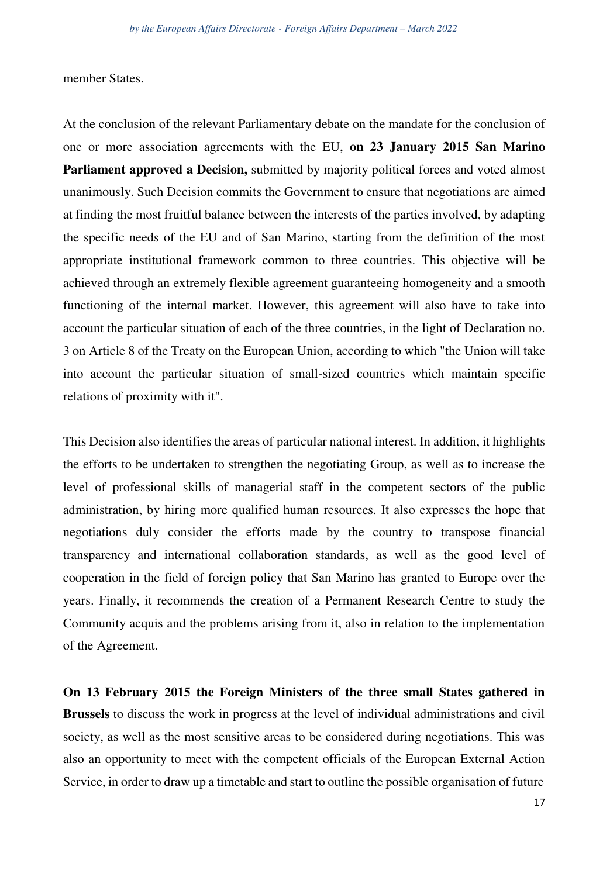member States.

At the conclusion of the relevant Parliamentary debate on the mandate for the conclusion of one or more association agreements with the EU, **on 23 January 2015 San Marino Parliament approved a Decision,** submitted by majority political forces and voted almost unanimously. Such Decision commits the Government to ensure that negotiations are aimed at finding the most fruitful balance between the interests of the parties involved, by adapting the specific needs of the EU and of San Marino, starting from the definition of the most appropriate institutional framework common to three countries. This objective will be achieved through an extremely flexible agreement guaranteeing homogeneity and a smooth functioning of the internal market. However, this agreement will also have to take into account the particular situation of each of the three countries, in the light of Declaration no. 3 on Article 8 of the Treaty on the European Union, according to which "the Union will take into account the particular situation of small-sized countries which maintain specific relations of proximity with it".

This Decision also identifies the areas of particular national interest. In addition, it highlights the efforts to be undertaken to strengthen the negotiating Group, as well as to increase the level of professional skills of managerial staff in the competent sectors of the public administration, by hiring more qualified human resources. It also expresses the hope that negotiations duly consider the efforts made by the country to transpose financial transparency and international collaboration standards, as well as the good level of cooperation in the field of foreign policy that San Marino has granted to Europe over the years. Finally, it recommends the creation of a Permanent Research Centre to study the Community acquis and the problems arising from it, also in relation to the implementation of the Agreement.

**On 13 February 2015 the Foreign Ministers of the three small States gathered in Brussels** to discuss the work in progress at the level of individual administrations and civil society, as well as the most sensitive areas to be considered during negotiations. This was also an opportunity to meet with the competent officials of the European External Action Service, in order to draw up a timetable and start to outline the possible organisation of future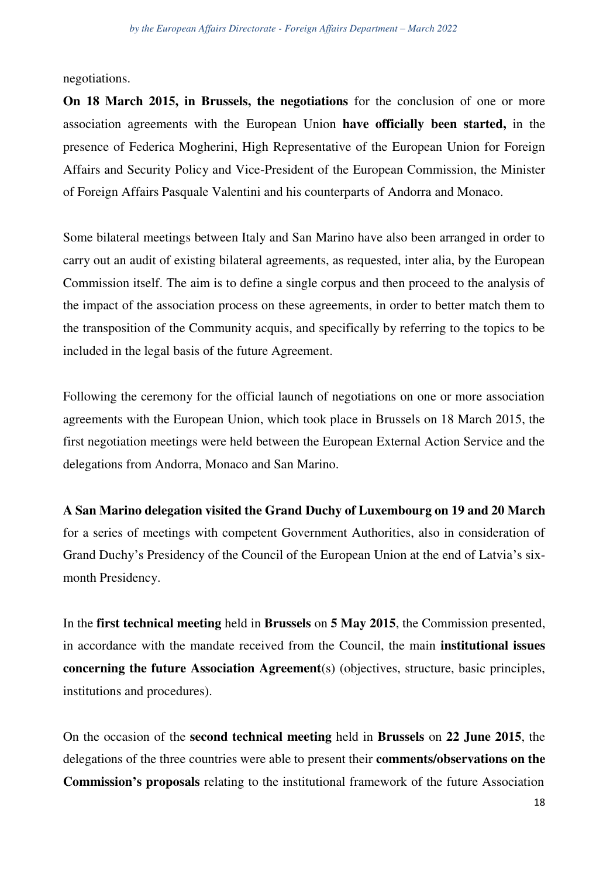negotiations.

**On 18 March 2015, in Brussels, the negotiations** for the conclusion of one or more association agreements with the European Union **have officially been started,** in the presence of Federica Mogherini, High Representative of the European Union for Foreign Affairs and Security Policy and Vice-President of the European Commission, the Minister of Foreign Affairs Pasquale Valentini and his counterparts of Andorra and Monaco.

Some bilateral meetings between Italy and San Marino have also been arranged in order to carry out an audit of existing bilateral agreements, as requested, inter alia, by the European Commission itself. The aim is to define a single corpus and then proceed to the analysis of the impact of the association process on these agreements, in order to better match them to the transposition of the Community acquis, and specifically by referring to the topics to be included in the legal basis of the future Agreement.

Following the ceremony for the official launch of negotiations on one or more association agreements with the European Union, which took place in Brussels on 18 March 2015, the first negotiation meetings were held between the European External Action Service and the delegations from Andorra, Monaco and San Marino.

**A San Marino delegation visited the Grand Duchy of Luxembourg on 19 and 20 March**  for a series of meetings with competent Government Authorities, also in consideration of Grand Duchy's Presidency of the Council of the European Union at the end of Latvia's sixmonth Presidency.

In the **first technical meeting** held in **Brussels** on **5 May 2015**, the Commission presented, in accordance with the mandate received from the Council, the main **institutional issues concerning the future Association Agreement**(s) (objectives, structure, basic principles, institutions and procedures).

On the occasion of the **second technical meeting** held in **Brussels** on **22 June 2015**, the delegations of the three countries were able to present their **comments/observations on the Commission's proposals** relating to the institutional framework of the future Association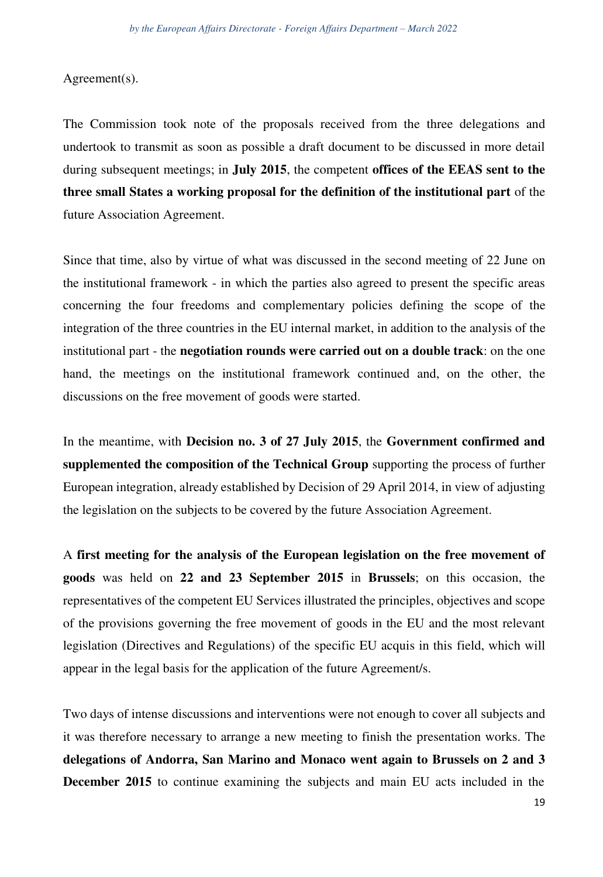Agreement(s).

The Commission took note of the proposals received from the three delegations and undertook to transmit as soon as possible a draft document to be discussed in more detail during subsequent meetings; in **July 2015**, the competent **offices of the EEAS sent to the three small States a working proposal for the definition of the institutional part** of the future Association Agreement.

Since that time, also by virtue of what was discussed in the second meeting of 22 June on the institutional framework - in which the parties also agreed to present the specific areas concerning the four freedoms and complementary policies defining the scope of the integration of the three countries in the EU internal market, in addition to the analysis of the institutional part - the **negotiation rounds were carried out on a double track**: on the one hand, the meetings on the institutional framework continued and, on the other, the discussions on the free movement of goods were started.

In the meantime, with **Decision no. 3 of 27 July 2015**, the **Government confirmed and supplemented the composition of the Technical Group** supporting the process of further European integration, already established by Decision of 29 April 2014, in view of adjusting the legislation on the subjects to be covered by the future Association Agreement.

A **first meeting for the analysis of the European legislation on the free movement of goods** was held on **22 and 23 September 2015** in **Brussels**; on this occasion, the representatives of the competent EU Services illustrated the principles, objectives and scope of the provisions governing the free movement of goods in the EU and the most relevant legislation (Directives and Regulations) of the specific EU acquis in this field, which will appear in the legal basis for the application of the future Agreement/s.

Two days of intense discussions and interventions were not enough to cover all subjects and it was therefore necessary to arrange a new meeting to finish the presentation works. The **delegations of Andorra, San Marino and Monaco went again to Brussels on 2 and 3 December 2015** to continue examining the subjects and main EU acts included in the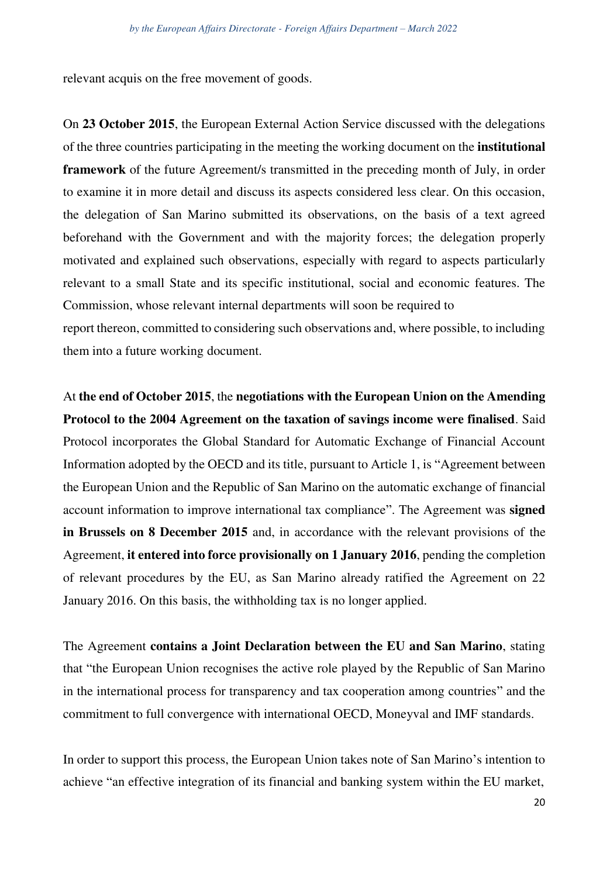relevant acquis on the free movement of goods.

On **23 October 2015**, the European External Action Service discussed with the delegations of the three countries participating in the meeting the working document on the **institutional framework** of the future Agreement/s transmitted in the preceding month of July, in order to examine it in more detail and discuss its aspects considered less clear. On this occasion, the delegation of San Marino submitted its observations, on the basis of a text agreed beforehand with the Government and with the majority forces; the delegation properly motivated and explained such observations, especially with regard to aspects particularly relevant to a small State and its specific institutional, social and economic features. The Commission, whose relevant internal departments will soon be required to

report thereon, committed to considering such observations and, where possible, to including them into a future working document.

At **the end of October 2015**, the **negotiations with the European Union on the Amending Protocol to the 2004 Agreement on the taxation of savings income were finalised**. Said Protocol incorporates the Global Standard for Automatic Exchange of Financial Account Information adopted by the OECD and its title, pursuant to Article 1, is "Agreement between the European Union and the Republic of San Marino on the automatic exchange of financial account information to improve international tax compliance". The Agreement was **signed in Brussels on 8 December 2015** and, in accordance with the relevant provisions of the Agreement, **it entered into force provisionally on 1 January 2016**, pending the completion of relevant procedures by the EU, as San Marino already ratified the Agreement on 22 January 2016. On this basis, the withholding tax is no longer applied.

The Agreement **contains a Joint Declaration between the EU and San Marino**, stating that "the European Union recognises the active role played by the Republic of San Marino in the international process for transparency and tax cooperation among countries" and the commitment to full convergence with international OECD, Moneyval and IMF standards.

In order to support this process, the European Union takes note of San Marino's intention to achieve "an effective integration of its financial and banking system within the EU market,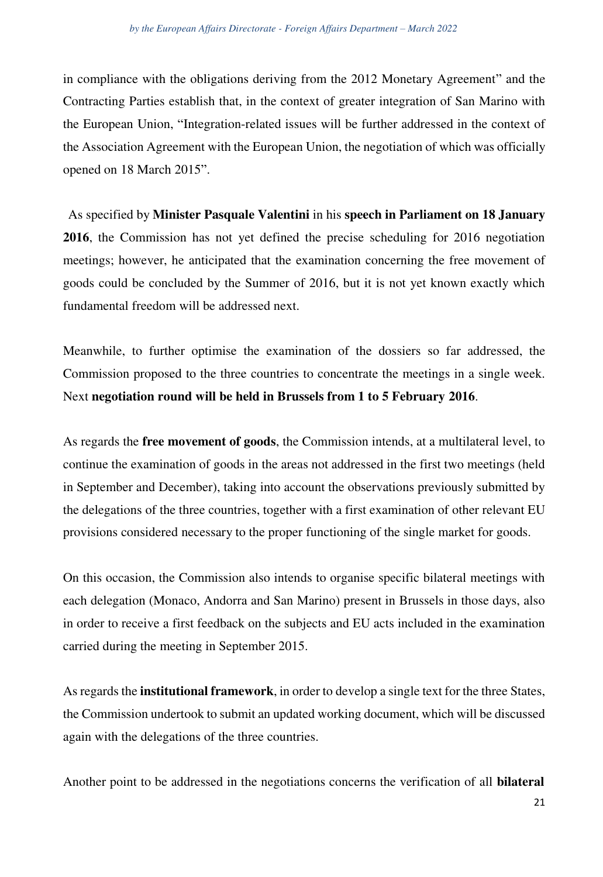in compliance with the obligations deriving from the 2012 Monetary Agreement" and the Contracting Parties establish that, in the context of greater integration of San Marino with the European Union, "Integration-related issues will be further addressed in the context of the Association Agreement with the European Union, the negotiation of which was officially opened on 18 March 2015".

As specified by **Minister Pasquale Valentini** in his **speech in Parliament on 18 January 2016**, the Commission has not yet defined the precise scheduling for 2016 negotiation meetings; however, he anticipated that the examination concerning the free movement of goods could be concluded by the Summer of 2016, but it is not yet known exactly which fundamental freedom will be addressed next.

Meanwhile, to further optimise the examination of the dossiers so far addressed, the Commission proposed to the three countries to concentrate the meetings in a single week. Next **negotiation round will be held in Brussels from 1 to 5 February 2016**.

As regards the **free movement of goods**, the Commission intends, at a multilateral level, to continue the examination of goods in the areas not addressed in the first two meetings (held in September and December), taking into account the observations previously submitted by the delegations of the three countries, together with a first examination of other relevant EU provisions considered necessary to the proper functioning of the single market for goods.

On this occasion, the Commission also intends to organise specific bilateral meetings with each delegation (Monaco, Andorra and San Marino) present in Brussels in those days, also in order to receive a first feedback on the subjects and EU acts included in the examination carried during the meeting in September 2015.

Asregards the **institutional framework**, in order to develop a single text for the three States, the Commission undertook to submit an updated working document, which will be discussed again with the delegations of the three countries.

Another point to be addressed in the negotiations concerns the verification of all **bilateral**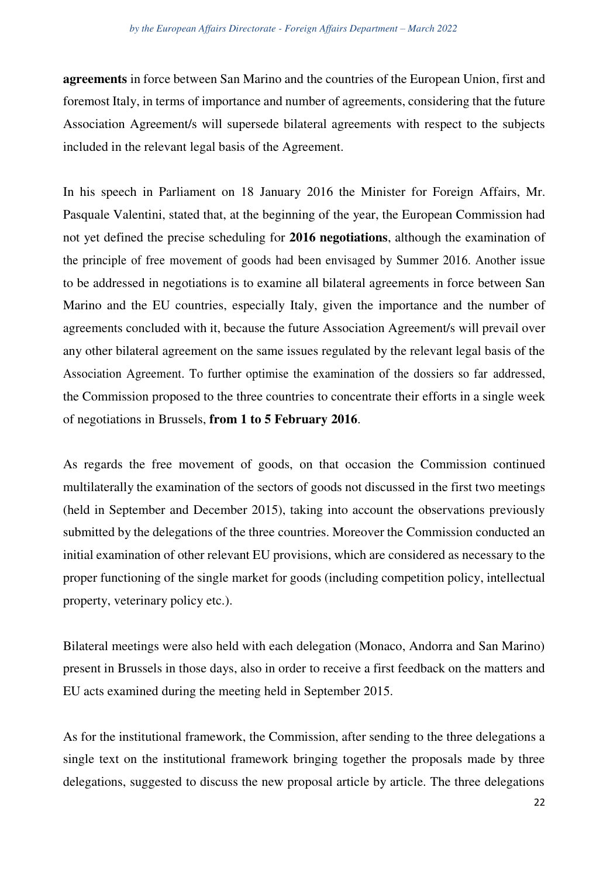**agreements** in force between San Marino and the countries of the European Union, first and foremost Italy, in terms of importance and number of agreements, considering that the future Association Agreement/s will supersede bilateral agreements with respect to the subjects included in the relevant legal basis of the Agreement.

In his speech in Parliament on 18 January 2016 the Minister for Foreign Affairs, Mr. Pasquale Valentini, stated that, at the beginning of the year, the European Commission had not yet defined the precise scheduling for **2016 negotiations**, although the examination of the principle of free movement of goods had been envisaged by Summer 2016. Another issue to be addressed in negotiations is to examine all bilateral agreements in force between San Marino and the EU countries, especially Italy, given the importance and the number of agreements concluded with it, because the future Association Agreement/s will prevail over any other bilateral agreement on the same issues regulated by the relevant legal basis of the Association Agreement. To further optimise the examination of the dossiers so far addressed, the Commission proposed to the three countries to concentrate their efforts in a single week of negotiations in Brussels, **from 1 to 5 February 2016**.

As regards the free movement of goods, on that occasion the Commission continued multilaterally the examination of the sectors of goods not discussed in the first two meetings (held in September and December 2015), taking into account the observations previously submitted by the delegations of the three countries. Moreover the Commission conducted an initial examination of other relevant EU provisions, which are considered as necessary to the proper functioning of the single market for goods (including competition policy, intellectual property, veterinary policy etc.).

Bilateral meetings were also held with each delegation (Monaco, Andorra and San Marino) present in Brussels in those days, also in order to receive a first feedback on the matters and EU acts examined during the meeting held in September 2015.

As for the institutional framework, the Commission, after sending to the three delegations a single text on the institutional framework bringing together the proposals made by three delegations, suggested to discuss the new proposal article by article. The three delegations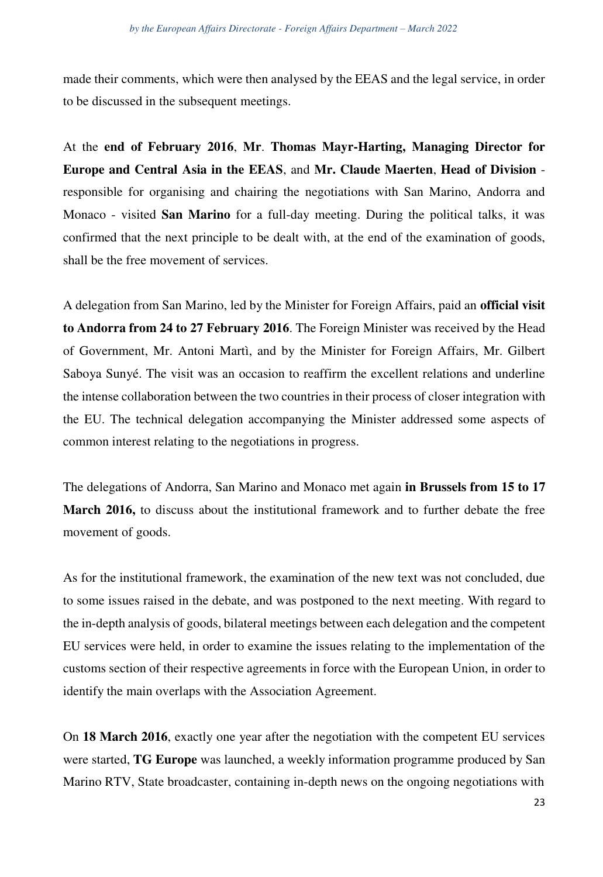made their comments, which were then analysed by the EEAS and the legal service, in order to be discussed in the subsequent meetings.

At the **end of February 2016**, **Mr**. **Thomas Mayr-Harting, Managing Director for Europe and Central Asia in the EEAS**, and **Mr. Claude Maerten**, **Head of Division**  responsible for organising and chairing the negotiations with San Marino, Andorra and Monaco - visited **San Marino** for a full-day meeting. During the political talks, it was confirmed that the next principle to be dealt with, at the end of the examination of goods, shall be the free movement of services.

A delegation from San Marino, led by the Minister for Foreign Affairs, paid an **official visit to Andorra from 24 to 27 February 2016**. The Foreign Minister was received by the Head of Government, Mr. Antoni Martì, and by the Minister for Foreign Affairs, Mr. Gilbert Saboya Sunyé. The visit was an occasion to reaffirm the excellent relations and underline the intense collaboration between the two countries in their process of closer integration with the EU. The technical delegation accompanying the Minister addressed some aspects of common interest relating to the negotiations in progress.

The delegations of Andorra, San Marino and Monaco met again **in Brussels from 15 to 17 March 2016,** to discuss about the institutional framework and to further debate the free movement of goods.

As for the institutional framework, the examination of the new text was not concluded, due to some issues raised in the debate, and was postponed to the next meeting. With regard to the in-depth analysis of goods, bilateral meetings between each delegation and the competent EU services were held, in order to examine the issues relating to the implementation of the customs section of their respective agreements in force with the European Union, in order to identify the main overlaps with the Association Agreement.

On **18 March 2016**, exactly one year after the negotiation with the competent EU services were started, **TG Europe** was launched, a weekly information programme produced by San Marino RTV, State broadcaster, containing in-depth news on the ongoing negotiations with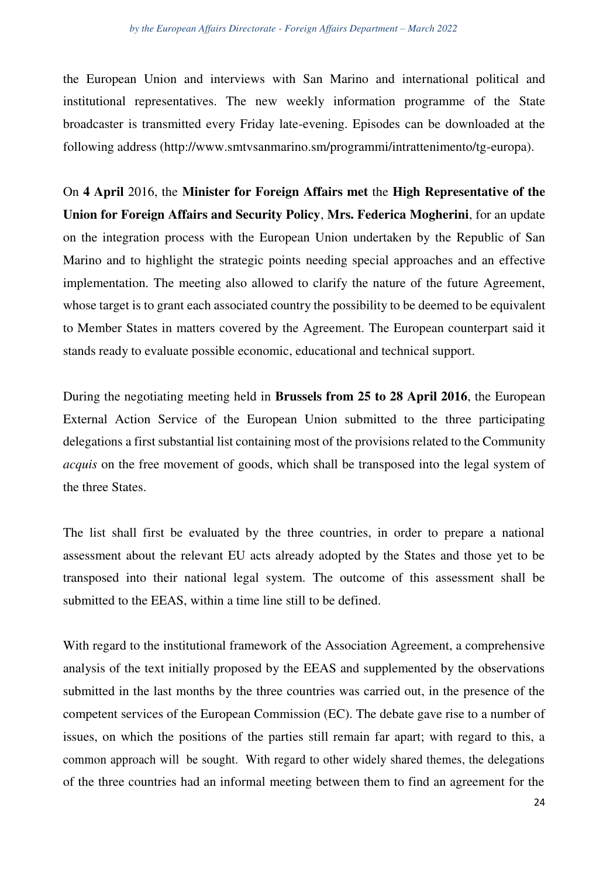the European Union and interviews with San Marino and international political and institutional representatives. The new weekly information programme of the State broadcaster is transmitted every Friday late-evening. Episodes can be downloaded at the following address [\(http://www.smtvsanmarino.sm/programmi/intrattenimento/tg-europa\).](http://www.smtvsanmarino.sm/programmi/intrattenimento/tg-europa))

On **4 April** 2016, the **Minister for Foreign Affairs met** the **High Representative of the Union for Foreign Affairs and Security Policy**, **Mrs. Federica Mogherini**, for an update on the integration process with the European Union undertaken by the Republic of San Marino and to highlight the strategic points needing special approaches and an effective implementation. The meeting also allowed to clarify the nature of the future Agreement, whose target is to grant each associated country the possibility to be deemed to be equivalent to Member States in matters covered by the Agreement. The European counterpart said it stands ready to evaluate possible economic, educational and technical support.

During the negotiating meeting held in **Brussels from 25 to 28 April 2016**, the European External Action Service of the European Union submitted to the three participating delegations a first substantial list containing most of the provisions related to the Community *acquis* on the free movement of goods, which shall be transposed into the legal system of the three States.

The list shall first be evaluated by the three countries, in order to prepare a national assessment about the relevant EU acts already adopted by the States and those yet to be transposed into their national legal system. The outcome of this assessment shall be submitted to the EEAS, within a time line still to be defined.

With regard to the institutional framework of the Association Agreement, a comprehensive analysis of the text initially proposed by the EEAS and supplemented by the observations submitted in the last months by the three countries was carried out, in the presence of the competent services of the European Commission (EC). The debate gave rise to a number of issues, on which the positions of the parties still remain far apart; with regard to this, a common approach will be sought. With regard to other widely shared themes, the delegations of the three countries had an informal meeting between them to find an agreement for the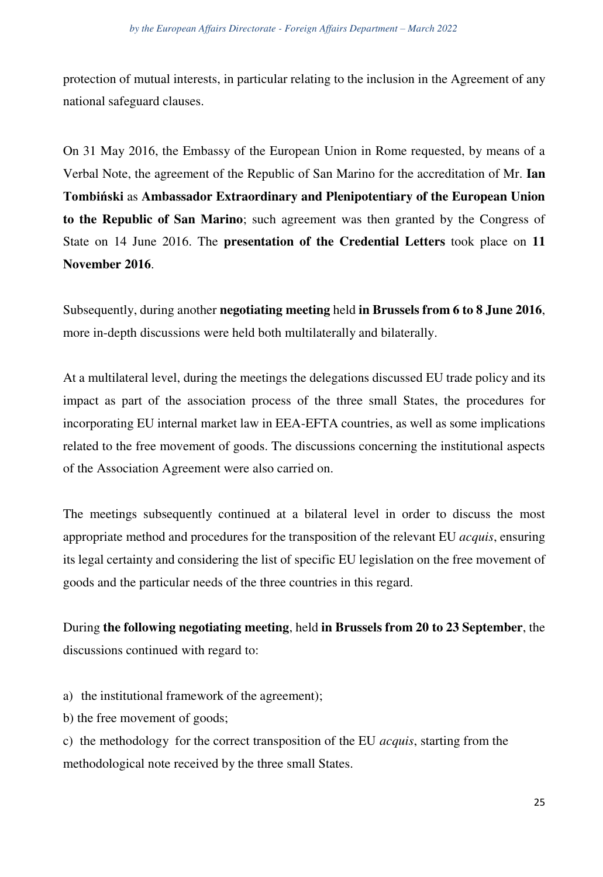protection of mutual interests, in particular relating to the inclusion in the Agreement of any national safeguard clauses.

On 31 May 2016, the Embassy of the European Union in Rome requested, by means of a Verbal Note, the agreement of the Republic of San Marino for the accreditation of Mr. **Ian Tombiński** as **Ambassador Extraordinary and Plenipotentiary of the European Union to the Republic of San Marino**; such agreement was then granted by the Congress of State on 14 June 2016. The **presentation of the Credential Letters** took place on **11 November 2016**.

Subsequently, during another **negotiating meeting** held **in Brussels from 6 to 8 June 2016**, more in-depth discussions were held both multilaterally and bilaterally.

At a multilateral level, during the meetings the delegations discussed EU trade policy and its impact as part of the association process of the three small States, the procedures for incorporating EU internal market law in EEA-EFTA countries, as well as some implications related to the free movement of goods. The discussions concerning the institutional aspects of the Association Agreement were also carried on.

The meetings subsequently continued at a bilateral level in order to discuss the most appropriate method and procedures for the transposition of the relevant EU *acquis*, ensuring its legal certainty and considering the list of specific EU legislation on the free movement of goods and the particular needs of the three countries in this regard.

During **the following negotiating meeting**, held **in Brussels from 20 to 23 September**, the discussions continued with regard to:

- a) the institutional framework of the agreement);
- b) the free movement of goods;

c) the methodology for the correct transposition of the EU *acquis*, starting from the methodological note received by the three small States.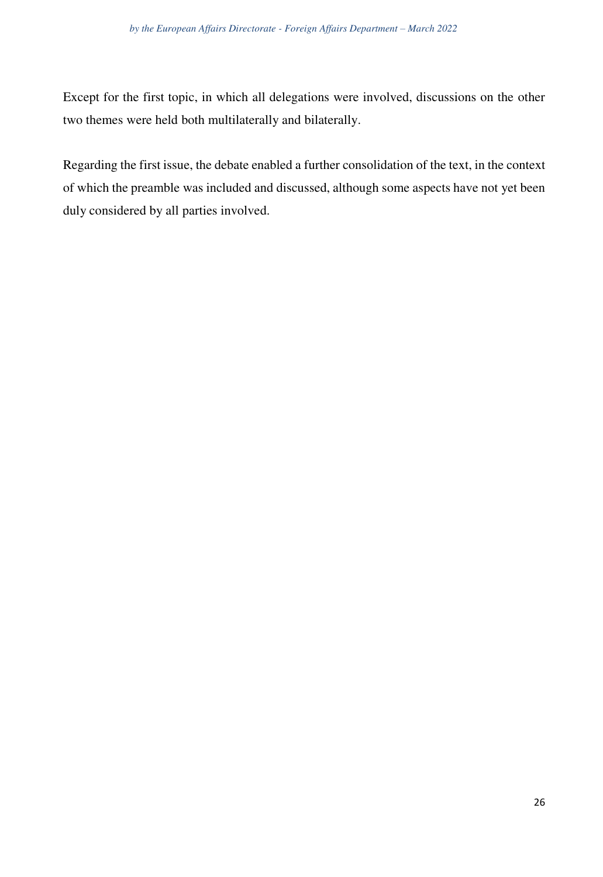Except for the first topic, in which all delegations were involved, discussions on the other two themes were held both multilaterally and bilaterally.

Regarding the first issue, the debate enabled a further consolidation of the text, in the context of which the preamble was included and discussed, although some aspects have not yet been duly considered by all parties involved.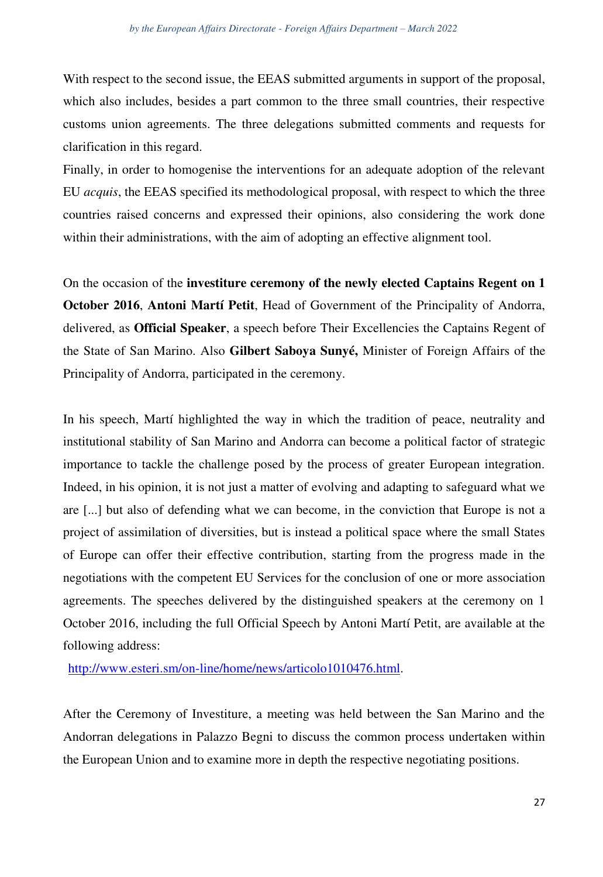With respect to the second issue, the EEAS submitted arguments in support of the proposal, which also includes, besides a part common to the three small countries, their respective customs union agreements. The three delegations submitted comments and requests for clarification in this regard.

Finally, in order to homogenise the interventions for an adequate adoption of the relevant EU *acquis*, the EEAS specified its methodological proposal, with respect to which the three countries raised concerns and expressed their opinions, also considering the work done within their administrations, with the aim of adopting an effective alignment tool.

On the occasion of the **investiture ceremony of the newly elected Captains Regent on 1 October 2016**, **Antoni Martí Petit**, Head of Government of the Principality of Andorra, delivered, as **Official Speaker**, a speech before Their Excellencies the Captains Regent of the State of San Marino. Also **Gilbert Saboya Sunyé,** Minister of Foreign Affairs of the Principality of Andorra, participated in the ceremony.

In his speech, Martí highlighted the way in which the tradition of peace, neutrality and institutional stability of San Marino and Andorra can become a political factor of strategic importance to tackle the challenge posed by the process of greater European integration. Indeed, in his opinion, it is not just a matter of evolving and adapting to safeguard what we are [...] but also of defending what we can become, in the conviction that Europe is not a project of assimilation of diversities, but is instead a political space where the small States of Europe can offer their effective contribution, starting from the progress made in the negotiations with the competent EU Services for the conclusion of one or more association agreements. The speeches delivered by the distinguished speakers at the ceremony on 1 October 2016, including the full Official Speech by Antoni Martí Petit, are available at the following address:

[http://www.esteri.sm/on-line/home/news/articolo1010476.html.](http://www.esteri.sm/on-line/home/news/articolo1010476.html)

After the Ceremony of Investiture, a meeting was held between the San Marino and the Andorran delegations in Palazzo Begni to discuss the common process undertaken within the European Union and to examine more in depth the respective negotiating positions.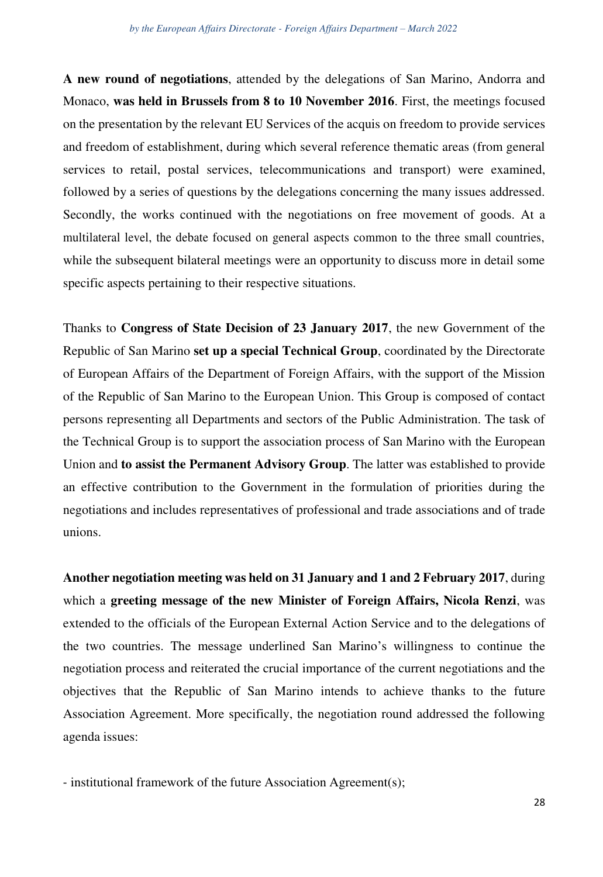**A new round of negotiations**, attended by the delegations of San Marino, Andorra and Monaco, **was held in Brussels from 8 to 10 November 2016**. First, the meetings focused on the presentation by the relevant EU Services of the acquis on freedom to provide services and freedom of establishment, during which several reference thematic areas (from general services to retail, postal services, telecommunications and transport) were examined, followed by a series of questions by the delegations concerning the many issues addressed. Secondly, the works continued with the negotiations on free movement of goods. At a multilateral level, the debate focused on general aspects common to the three small countries, while the subsequent bilateral meetings were an opportunity to discuss more in detail some specific aspects pertaining to their respective situations.

Thanks to **Congress of State Decision of 23 January 2017**, the new Government of the Republic of San Marino **set up a special Technical Group**, coordinated by the Directorate of European Affairs of the Department of Foreign Affairs, with the support of the Mission of the Republic of San Marino to the European Union. This Group is composed of contact persons representing all Departments and sectors of the Public Administration. The task of the Technical Group is to support the association process of San Marino with the European Union and **to assist the Permanent Advisory Group**. The latter was established to provide an effective contribution to the Government in the formulation of priorities during the negotiations and includes representatives of professional and trade associations and of trade unions.

**Another negotiation meeting was held on 31 January and 1 and 2 February 2017**, during which a **greeting message of the new Minister of Foreign Affairs, Nicola Renzi**, was extended to the officials of the European External Action Service and to the delegations of the two countries. The message underlined San Marino's willingness to continue the negotiation process and reiterated the crucial importance of the current negotiations and the objectives that the Republic of San Marino intends to achieve thanks to the future Association Agreement. More specifically, the negotiation round addressed the following agenda issues:

- institutional framework of the future Association Agreement(s);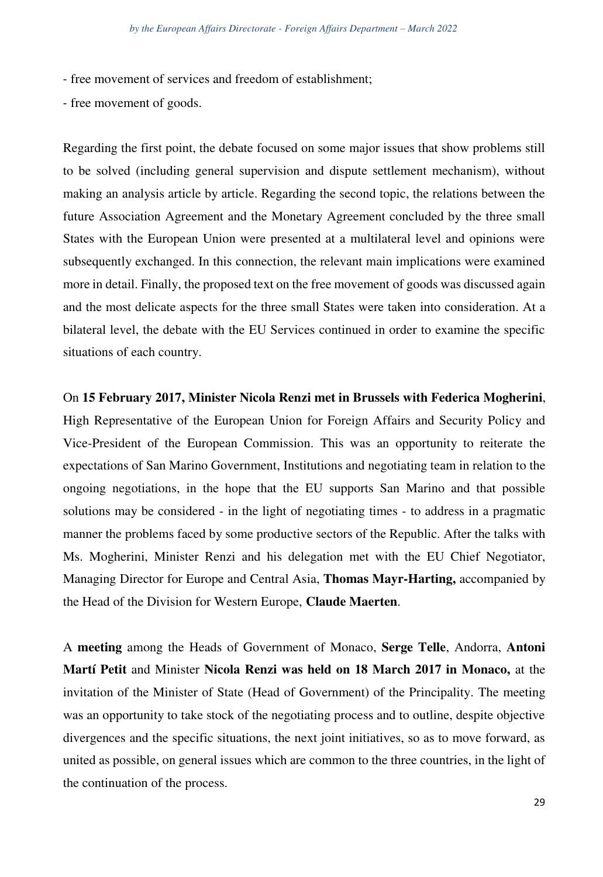- free movement of services and freedom of establishment;

- free movement of goods.

Regarding the first point, the debate focused on some major issues that show problems still to be solved (including general supervision and dispute settlement mechanism), without making an analysis article by article. Regarding the second topic, the relations between the future Association Agreement and the Monetary Agreement concluded by the three small States with the European Union were presented at a multilateral level and opinions were subsequently exchanged. In this connection, the relevant main implications were examined more in detail. Finally, the proposed text on the free movement of goods was discussed again and the most delicate aspects for the three small States were taken into consideration. At a bilateral level, the debate with the EU Services continued in order to examine the specific situations of each country.

On **15 February 2017, Minister Nicola Renzi met in Brussels with Federica Mogherini**, High Representative of the European Union for Foreign Affairs and Security Policy and Vice-President of the European Commission. This was an opportunity to reiterate the expectations of San Marino Government, Institutions and negotiating team in relation to the ongoing negotiations, in the hope that the EU supports San Marino and that possible solutions may be considered - in the light of negotiating times - to address in a pragmatic manner the problems faced by some productive sectors of the Republic. After the talks with Ms. Mogherini, Minister Renzi and his delegation met with the EU Chief Negotiator, Managing Director for Europe and Central Asia, **Thomas Mayr-Harting,** accompanied by the Head of the Division for Western Europe, **Claude Maerten**.

A **meeting** among the Heads of Government of Monaco, **Serge Telle**, Andorra, **Antoni Martí Petit** and Minister **Nicola Renzi was held on 18 March 2017 in Monaco,** at the invitation of the Minister of State (Head of Government) of the Principality. The meeting was an opportunity to take stock of the negotiating process and to outline, despite objective divergences and the specific situations, the next joint initiatives, so as to move forward, as united as possible, on general issues which are common to the three countries, in the light of the continuation of the process.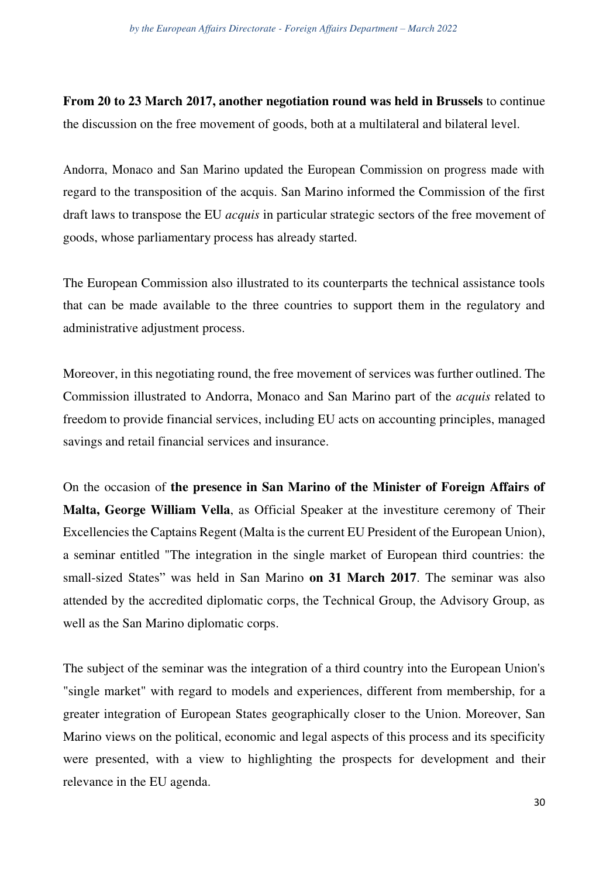**From 20 to 23 March 2017, another negotiation round was held in Brussels** to continue the discussion on the free movement of goods, both at a multilateral and bilateral level.

Andorra, Monaco and San Marino updated the European Commission on progress made with regard to the transposition of the acquis. San Marino informed the Commission of the first draft laws to transpose the EU *acquis* in particular strategic sectors of the free movement of goods, whose parliamentary process has already started.

The European Commission also illustrated to its counterparts the technical assistance tools that can be made available to the three countries to support them in the regulatory and administrative adjustment process.

Moreover, in this negotiating round, the free movement of services was further outlined. The Commission illustrated to Andorra, Monaco and San Marino part of the *acquis* related to freedom to provide financial services, including EU acts on accounting principles, managed savings and retail financial services and insurance.

On the occasion of **the presence in San Marino of the Minister of Foreign Affairs of Malta, George William Vella**, as Official Speaker at the investiture ceremony of Their Excellencies the Captains Regent (Malta is the current EU President of the European Union), a seminar entitled "The integration in the single market of European third countries: the small-sized States" was held in San Marino **on 31 March 2017**. The seminar was also attended by the accredited diplomatic corps, the Technical Group, the Advisory Group, as well as the San Marino diplomatic corps.

The subject of the seminar was the integration of a third country into the European Union's "single market" with regard to models and experiences, different from membership, for a greater integration of European States geographically closer to the Union. Moreover, San Marino views on the political, economic and legal aspects of this process and its specificity were presented, with a view to highlighting the prospects for development and their relevance in the EU agenda.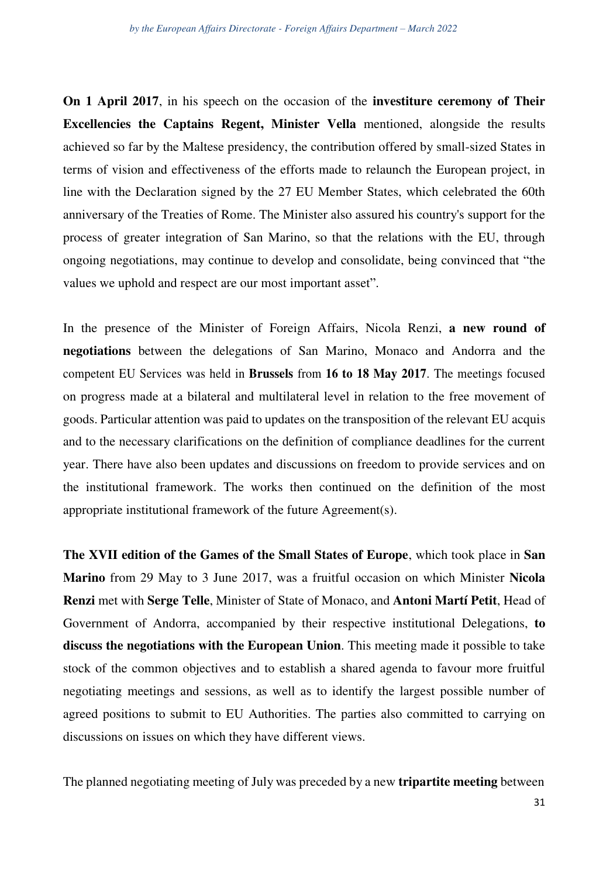**On 1 April 2017**, in his speech on the occasion of the **investiture ceremony of Their Excellencies the Captains Regent, Minister Vella** mentioned, alongside the results achieved so far by the Maltese presidency, the contribution offered by small-sized States in terms of vision and effectiveness of the efforts made to relaunch the European project, in line with the Declaration signed by the 27 EU Member States, which celebrated the 60th anniversary of the Treaties of Rome. The Minister also assured his country's support for the process of greater integration of San Marino, so that the relations with the EU, through ongoing negotiations, may continue to develop and consolidate, being convinced that "the values we uphold and respect are our most important asset".

In the presence of the Minister of Foreign Affairs, Nicola Renzi, **a new round of negotiations** between the delegations of San Marino, Monaco and Andorra and the competent EU Services was held in **Brussels** from **16 to 18 May 2017**. The meetings focused on progress made at a bilateral and multilateral level in relation to the free movement of goods. Particular attention was paid to updates on the transposition of the relevant EU acquis and to the necessary clarifications on the definition of compliance deadlines for the current year. There have also been updates and discussions on freedom to provide services and on the institutional framework. The works then continued on the definition of the most appropriate institutional framework of the future Agreement(s).

**The XVII edition of the Games of the Small States of Europe**, which took place in **San Marino** from 29 May to 3 June 2017, was a fruitful occasion on which Minister **Nicola Renzi** met with **Serge Telle**, Minister of State of Monaco, and **Antoni Martí Petit**, Head of Government of Andorra, accompanied by their respective institutional Delegations, **to discuss the negotiations with the European Union**. This meeting made it possible to take stock of the common objectives and to establish a shared agenda to favour more fruitful negotiating meetings and sessions, as well as to identify the largest possible number of agreed positions to submit to EU Authorities. The parties also committed to carrying on discussions on issues on which they have different views.

The planned negotiating meeting of July was preceded by a new **tripartite meeting** between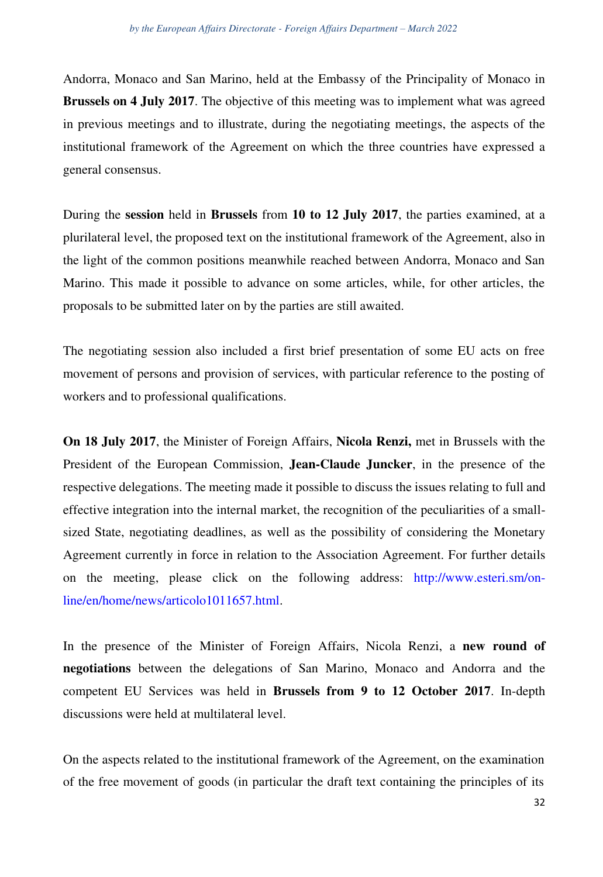Andorra, Monaco and San Marino, held at the Embassy of the Principality of Monaco in **Brussels on 4 July 2017.** The objective of this meeting was to implement what was agreed in previous meetings and to illustrate, during the negotiating meetings, the aspects of the institutional framework of the Agreement on which the three countries have expressed a general consensus.

During the **session** held in **Brussels** from **10 to 12 July 2017**, the parties examined, at a plurilateral level, the proposed text on the institutional framework of the Agreement, also in the light of the common positions meanwhile reached between Andorra, Monaco and San Marino. This made it possible to advance on some articles, while, for other articles, the proposals to be submitted later on by the parties are still awaited.

The negotiating session also included a first brief presentation of some EU acts on free movement of persons and provision of services, with particular reference to the posting of workers and to professional qualifications.

**On 18 July 2017**, the Minister of Foreign Affairs, **Nicola Renzi,** met in Brussels with the President of the European Commission, **Jean-Claude Juncker**, in the presence of the respective delegations. The meeting made it possible to discuss the issues relating to full and effective integration into the internal market, the recognition of the peculiarities of a smallsized State, negotiating deadlines, as well as the possibility of considering the Monetary Agreement currently in force in relation to the Association Agreement. For further details on the meeting, please click on the following address: [http://www.esteri.sm/on](http://www.esteri.sm/on-line/en/home/news/articolo1011657.html)[line/en/home/news/articolo1011657.html.](http://www.esteri.sm/on-line/en/home/news/articolo1011657.html)

In the presence of the Minister of Foreign Affairs, Nicola Renzi, a **new round of negotiations** between the delegations of San Marino, Monaco and Andorra and the competent EU Services was held in **Brussels from 9 to 12 October 2017**. In-depth discussions were held at multilateral level.

On the aspects related to the institutional framework of the Agreement, on the examination of the free movement of goods (in particular the draft text containing the principles of its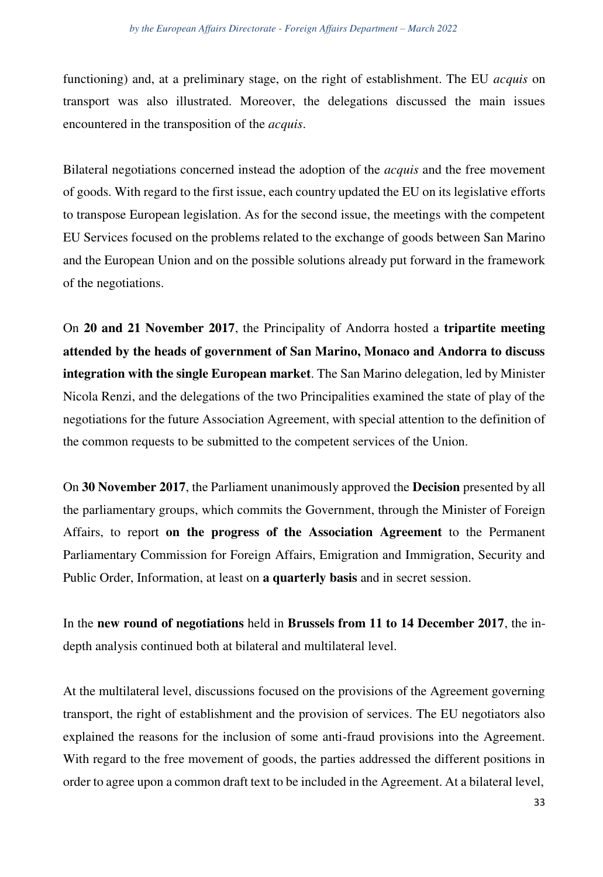functioning) and, at a preliminary stage, on the right of establishment. The EU *acquis* on transport was also illustrated. Moreover, the delegations discussed the main issues encountered in the transposition of the *acquis*.

Bilateral negotiations concerned instead the adoption of the *acquis* and the free movement of goods. With regard to the first issue, each country updated the EU on its legislative efforts to transpose European legislation. As for the second issue, the meetings with the competent EU Services focused on the problems related to the exchange of goods between San Marino and the European Union and on the possible solutions already put forward in the framework of the negotiations.

On **20 and 21 November 2017**, the Principality of Andorra hosted a **tripartite meeting attended by the heads of government of San Marino, Monaco and Andorra to discuss integration with the single European market**. The San Marino delegation, led by Minister Nicola Renzi, and the delegations of the two Principalities examined the state of play of the negotiations for the future Association Agreement, with special attention to the definition of the common requests to be submitted to the competent services of the Union.

On **30 November 2017**, the Parliament unanimously approved the **Decision** presented by all the parliamentary groups, which commits the Government, through the Minister of Foreign Affairs, to report **on the progress of the Association Agreement** to the Permanent Parliamentary Commission for Foreign Affairs, Emigration and Immigration, Security and Public Order, Information, at least on **a quarterly basis** and in secret session.

In the **new round of negotiations** held in **Brussels from 11 to 14 December 2017**, the indepth analysis continued both at bilateral and multilateral level.

At the multilateral level, discussions focused on the provisions of the Agreement governing transport, the right of establishment and the provision of services. The EU negotiators also explained the reasons for the inclusion of some anti-fraud provisions into the Agreement. With regard to the free movement of goods, the parties addressed the different positions in order to agree upon a common draft text to be included in the Agreement. At a bilateral level,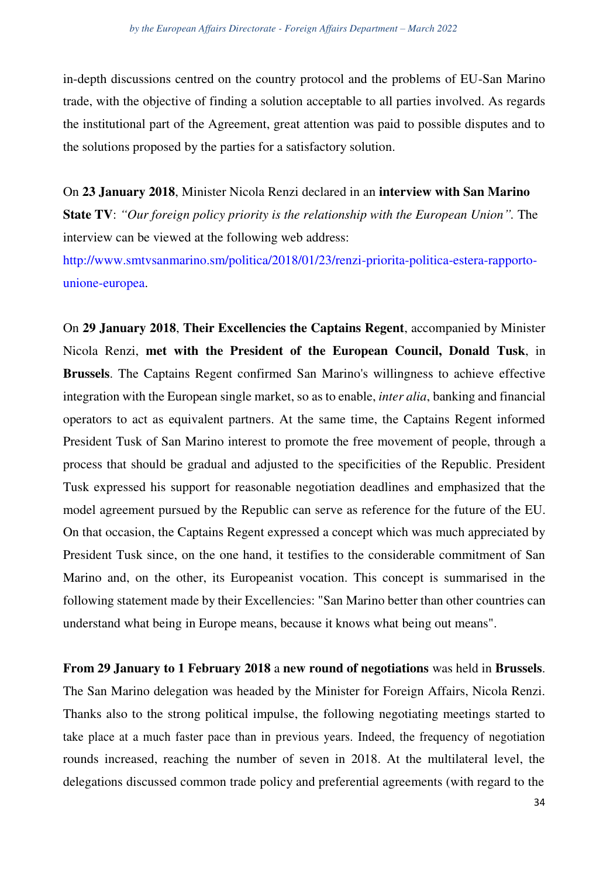in-depth discussions centred on the country protocol and the problems of EU-San Marino trade, with the objective of finding a solution acceptable to all parties involved. As regards the institutional part of the Agreement, great attention was paid to possible disputes and to the solutions proposed by the parties for a satisfactory solution.

On **23 January 2018**, Minister Nicola Renzi declared in an **interview with San Marino State TV**: *"Our foreign policy priority is the relationship with the European Union".* The interview can be viewed at the following web address:

[http://www.smtvsanmarino.sm/politica/2018/01/23/renzi-priorita-politica-estera-rapporto](http://www.smtvsanmarino.sm/politica/2018/01/23/renzi-priorita-politica-estera-rapporto-unione-europea)[unione-europea.](http://www.smtvsanmarino.sm/politica/2018/01/23/renzi-priorita-politica-estera-rapporto-unione-europea)

On **29 January 2018**, **Their Excellencies the Captains Regent**, accompanied by Minister Nicola Renzi, **met with the President of the European Council, Donald Tusk**, in **Brussels**. The Captains Regent confirmed San Marino's willingness to achieve effective integration with the European single market, so as to enable, *inter alia*, banking and financial operators to act as equivalent partners. At the same time, the Captains Regent informed President Tusk of San Marino interest to promote the free movement of people, through a process that should be gradual and adjusted to the specificities of the Republic. President Tusk expressed his support for reasonable negotiation deadlines and emphasized that the model agreement pursued by the Republic can serve as reference for the future of the EU. On that occasion, the Captains Regent expressed a concept which was much appreciated by President Tusk since, on the one hand, it testifies to the considerable commitment of San Marino and, on the other, its Europeanist vocation. This concept is summarised in the following statement made by their Excellencies: "San Marino better than other countries can understand what being in Europe means, because it knows what being out means".

**From 29 January to 1 February 2018** a **new round of negotiations** was held in **Brussels**. The San Marino delegation was headed by the Minister for Foreign Affairs, Nicola Renzi. Thanks also to the strong political impulse, the following negotiating meetings started to take place at a much faster pace than in previous years. Indeed, the frequency of negotiation rounds increased, reaching the number of seven in 2018. At the multilateral level, the delegations discussed common trade policy and preferential agreements (with regard to the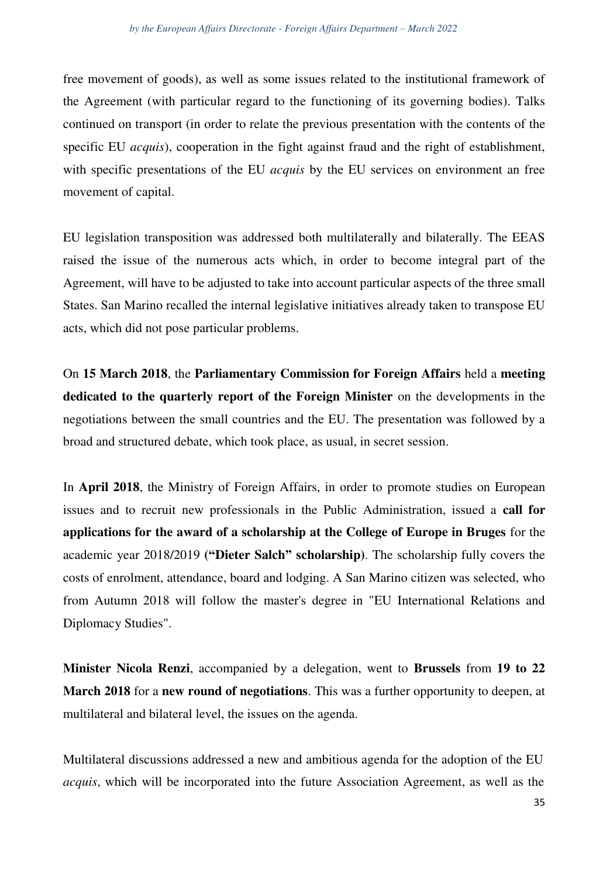free movement of goods), as well as some issues related to the institutional framework of the Agreement (with particular regard to the functioning of its governing bodies). Talks continued on transport (in order to relate the previous presentation with the contents of the specific EU *acquis*), cooperation in the fight against fraud and the right of establishment, with specific presentations of the EU *acquis* by the EU services on environment an free movement of capital.

EU legislation transposition was addressed both multilaterally and bilaterally. The EEAS raised the issue of the numerous acts which, in order to become integral part of the Agreement, will have to be adjusted to take into account particular aspects of the three small States. San Marino recalled the internal legislative initiatives already taken to transpose EU acts, which did not pose particular problems.

On **15 March 2018**, the **Parliamentary Commission for Foreign Affairs** held a **meeting dedicated to the quarterly report of the Foreign Minister** on the developments in the negotiations between the small countries and the EU. The presentation was followed by a broad and structured debate, which took place, as usual, in secret session.

In **April 2018**, the Ministry of Foreign Affairs, in order to promote studies on European issues and to recruit new professionals in the Public Administration, issued a **call for applications for the award of a scholarship at the College of Europe in Bruges** for the academic year 2018/2019 **("Dieter Salch" scholarship)**. The scholarship fully covers the costs of enrolment, attendance, board and lodging. A San Marino citizen was selected, who from Autumn 2018 will follow the master's degree in "EU International Relations and Diplomacy Studies".

**Minister Nicola Renzi**, accompanied by a delegation, went to **Brussels** from **19 to 22 March 2018** for a **new round of negotiations**. This was a further opportunity to deepen, at multilateral and bilateral level, the issues on the agenda.

Multilateral discussions addressed a new and ambitious agenda for the adoption of the EU *acquis*, which will be incorporated into the future Association Agreement, as well as the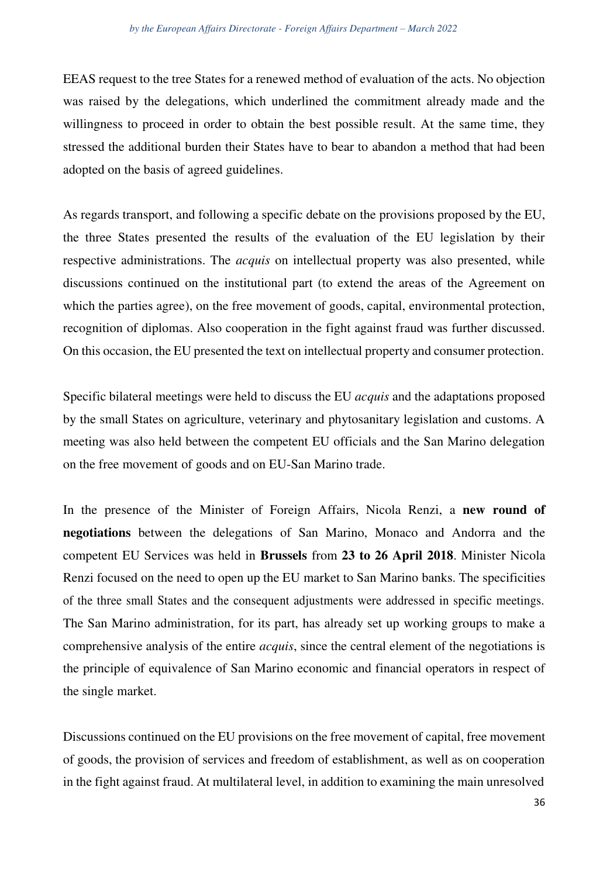EEAS request to the tree States for a renewed method of evaluation of the acts. No objection was raised by the delegations, which underlined the commitment already made and the willingness to proceed in order to obtain the best possible result. At the same time, they stressed the additional burden their States have to bear to abandon a method that had been adopted on the basis of agreed guidelines.

As regards transport, and following a specific debate on the provisions proposed by the EU, the three States presented the results of the evaluation of the EU legislation by their respective administrations. The *acquis* on intellectual property was also presented, while discussions continued on the institutional part (to extend the areas of the Agreement on which the parties agree), on the free movement of goods, capital, environmental protection, recognition of diplomas. Also cooperation in the fight against fraud was further discussed. On this occasion, the EU presented the text on intellectual property and consumer protection.

Specific bilateral meetings were held to discuss the EU *acquis* and the adaptations proposed by the small States on agriculture, veterinary and phytosanitary legislation and customs. A meeting was also held between the competent EU officials and the San Marino delegation on the free movement of goods and on EU-San Marino trade.

In the presence of the Minister of Foreign Affairs, Nicola Renzi, a **new round of negotiations** between the delegations of San Marino, Monaco and Andorra and the competent EU Services was held in **Brussels** from **23 to 26 April 2018**. Minister Nicola Renzi focused on the need to open up the EU market to San Marino banks. The specificities of the three small States and the consequent adjustments were addressed in specific meetings. The San Marino administration, for its part, has already set up working groups to make a comprehensive analysis of the entire *acquis*, since the central element of the negotiations is the principle of equivalence of San Marino economic and financial operators in respect of the single market.

Discussions continued on the EU provisions on the free movement of capital, free movement of goods, the provision of services and freedom of establishment, as well as on cooperation in the fight against fraud. At multilateral level, in addition to examining the main unresolved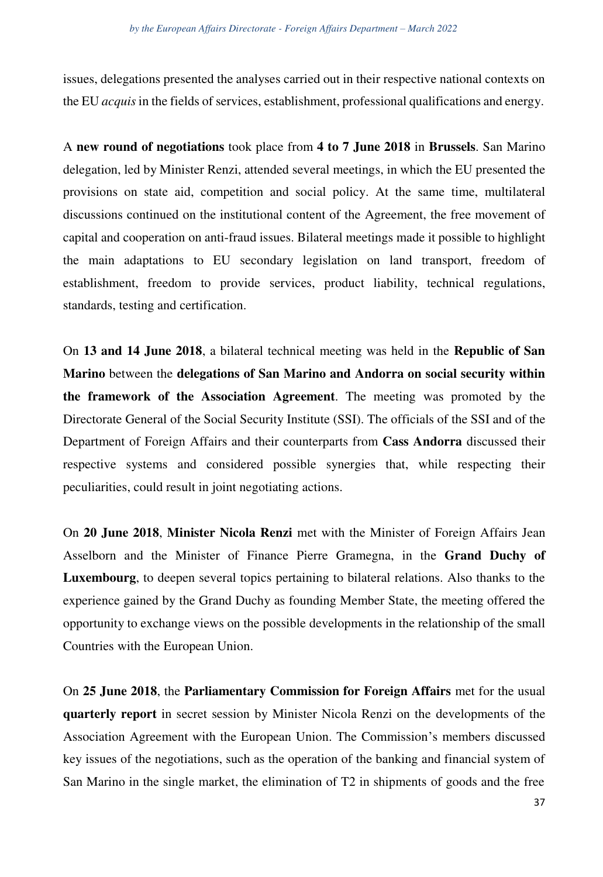issues, delegations presented the analyses carried out in their respective national contexts on the EU *acquis* in the fields of services, establishment, professional qualifications and energy.

A **new round of negotiations** took place from **4 to 7 June 2018** in **Brussels**. San Marino delegation, led by Minister Renzi, attended several meetings, in which the EU presented the provisions on state aid, competition and social policy. At the same time, multilateral discussions continued on the institutional content of the Agreement, the free movement of capital and cooperation on anti-fraud issues. Bilateral meetings made it possible to highlight the main adaptations to EU secondary legislation on land transport, freedom of establishment, freedom to provide services, product liability, technical regulations, standards, testing and certification.

On **13 and 14 June 2018**, a bilateral technical meeting was held in the **Republic of San Marino** between the **delegations of San Marino and Andorra on social security within the framework of the Association Agreement**. The meeting was promoted by the Directorate General of the Social Security Institute (SSI). The officials of the SSI and of the Department of Foreign Affairs and their counterparts from **Cass Andorra** discussed their respective systems and considered possible synergies that, while respecting their peculiarities, could result in joint negotiating actions.

On **20 June 2018**, **Minister Nicola Renzi** met with the Minister of Foreign Affairs Jean Asselborn and the Minister of Finance Pierre Gramegna, in the **Grand Duchy of Luxembourg**, to deepen several topics pertaining to bilateral relations. Also thanks to the experience gained by the Grand Duchy as founding Member State, the meeting offered the opportunity to exchange views on the possible developments in the relationship of the small Countries with the European Union.

On **25 June 2018**, the **Parliamentary Commission for Foreign Affairs** met for the usual **quarterly report** in secret session by Minister Nicola Renzi on the developments of the Association Agreement with the European Union. The Commission's members discussed key issues of the negotiations, such as the operation of the banking and financial system of San Marino in the single market, the elimination of T2 in shipments of goods and the free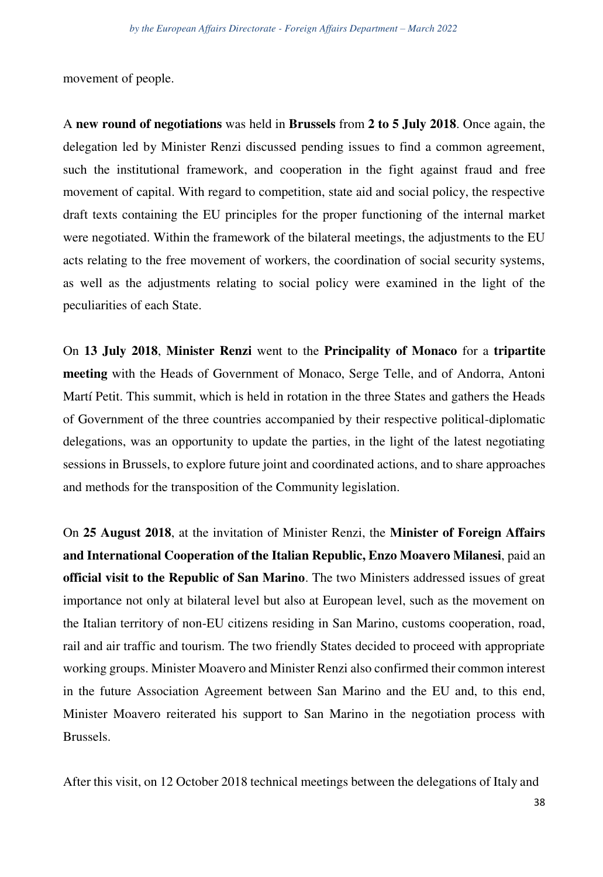movement of people.

A **new round of negotiations** was held in **Brussels** from **2 to 5 July 2018**. Once again, the delegation led by Minister Renzi discussed pending issues to find a common agreement, such the institutional framework, and cooperation in the fight against fraud and free movement of capital. With regard to competition, state aid and social policy, the respective draft texts containing the EU principles for the proper functioning of the internal market were negotiated. Within the framework of the bilateral meetings, the adjustments to the EU acts relating to the free movement of workers, the coordination of social security systems, as well as the adjustments relating to social policy were examined in the light of the peculiarities of each State.

On **13 July 2018**, **Minister Renzi** went to the **Principality of Monaco** for a **tripartite meeting** with the Heads of Government of Monaco, Serge Telle, and of Andorra, Antoni Martí Petit. This summit, which is held in rotation in the three States and gathers the Heads of Government of the three countries accompanied by their respective political-diplomatic delegations, was an opportunity to update the parties, in the light of the latest negotiating sessions in Brussels, to explore future joint and coordinated actions, and to share approaches and methods for the transposition of the Community legislation.

On **25 August 2018**, at the invitation of Minister Renzi, the **Minister of Foreign Affairs and International Cooperation of the Italian Republic, Enzo Moavero Milanesi**, paid an **official visit to the Republic of San Marino**. The two Ministers addressed issues of great importance not only at bilateral level but also at European level, such as the movement on the Italian territory of non-EU citizens residing in San Marino, customs cooperation, road, rail and air traffic and tourism. The two friendly States decided to proceed with appropriate working groups. Minister Moavero and Minister Renzi also confirmed their common interest in the future Association Agreement between San Marino and the EU and, to this end, Minister Moavero reiterated his support to San Marino in the negotiation process with Brussels.

After this visit, on 12 October 2018 technical meetings between the delegations of Italy and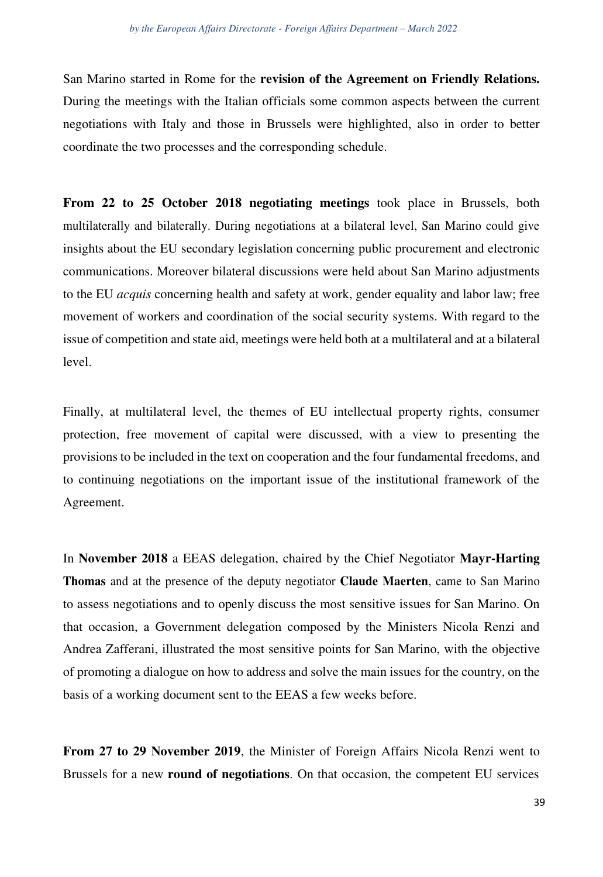San Marino started in Rome for the **revision of the Agreement on Friendly Relations.**  During the meetings with the Italian officials some common aspects between the current negotiations with Italy and those in Brussels were highlighted, also in order to better coordinate the two processes and the corresponding schedule.

**From 22 to 25 October 2018 negotiating meetings** took place in Brussels, both multilaterally and bilaterally. During negotiations at a bilateral level, San Marino could give insights about the EU secondary legislation concerning public procurement and electronic communications. Moreover bilateral discussions were held about San Marino adjustments to the EU *acquis* concerning health and safety at work, gender equality and labor law; free movement of workers and coordination of the social security systems. With regard to the issue of competition and state aid, meetings were held both at a multilateral and at a bilateral level.

Finally, at multilateral level, the themes of EU intellectual property rights, consumer protection, free movement of capital were discussed, with a view to presenting the provisions to be included in the text on cooperation and the four fundamental freedoms, and to continuing negotiations on the important issue of the institutional framework of the Agreement.

In **November 2018** a EEAS delegation, chaired by the Chief Negotiator **Mayr-Harting Thomas** and at the presence of the deputy negotiator **Claude Maerten**, came to San Marino to assess negotiations and to openly discuss the most sensitive issues for San Marino. On that occasion, a Government delegation composed by the Ministers Nicola Renzi and Andrea Zafferani, illustrated the most sensitive points for San Marino, with the objective of promoting a dialogue on how to address and solve the main issues for the country, on the basis of a working document sent to the EEAS a few weeks before.

**From 27 to 29 November 2019**, the Minister of Foreign Affairs Nicola Renzi went to Brussels for a new **round of negotiations**. On that occasion, the competent EU services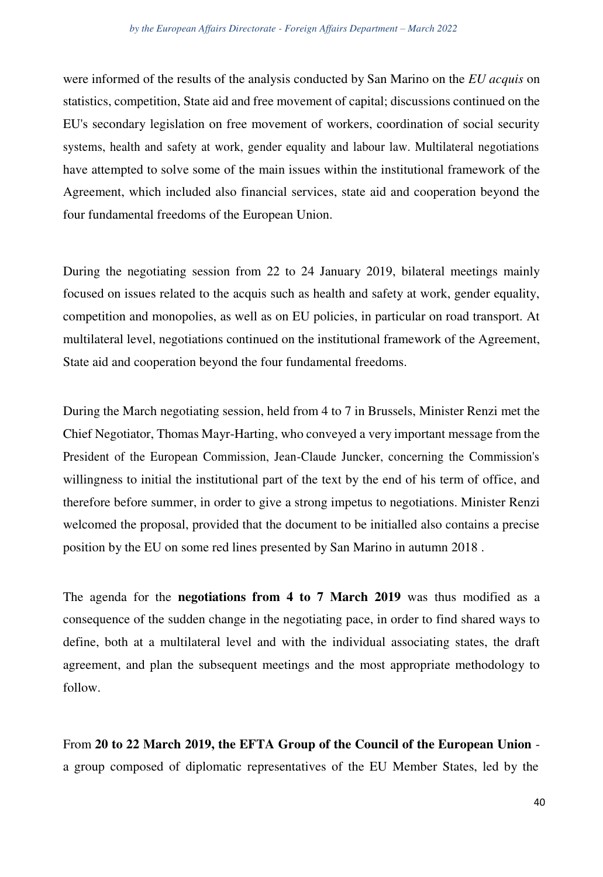were informed of the results of the analysis conducted by San Marino on the *EU acquis* on statistics, competition, State aid and free movement of capital; discussions continued on the EU's secondary legislation on free movement of workers, coordination of social security systems, health and safety at work, gender equality and labour law. Multilateral negotiations have attempted to solve some of the main issues within the institutional framework of the Agreement, which included also financial services, state aid and cooperation beyond the four fundamental freedoms of the European Union.

During the negotiating session from 22 to 24 January 2019, bilateral meetings mainly focused on issues related to the acquis such as health and safety at work, gender equality, competition and monopolies, as well as on EU policies, in particular on road transport. At multilateral level, negotiations continued on the institutional framework of the Agreement, State aid and cooperation beyond the four fundamental freedoms.

During the March negotiating session, held from 4 to 7 in Brussels, Minister Renzi met the Chief Negotiator, Thomas Mayr-Harting, who conveyed a very important message from the President of the European Commission, Jean-Claude Juncker, concerning the Commission's willingness to initial the institutional part of the text by the end of his term of office, and therefore before summer, in order to give a strong impetus to negotiations. Minister Renzi welcomed the proposal, provided that the document to be initialled also contains a precise position by the EU on some red lines presented by San Marino in autumn 2018 .

The agenda for the **negotiations from 4 to 7 March 2019** was thus modified as a consequence of the sudden change in the negotiating pace, in order to find shared ways to define, both at a multilateral level and with the individual associating states, the draft agreement, and plan the subsequent meetings and the most appropriate methodology to follow.

From **20 to 22 March 2019, the EFTA Group of the Council of the European Union** a group composed of diplomatic representatives of the EU Member States, led by the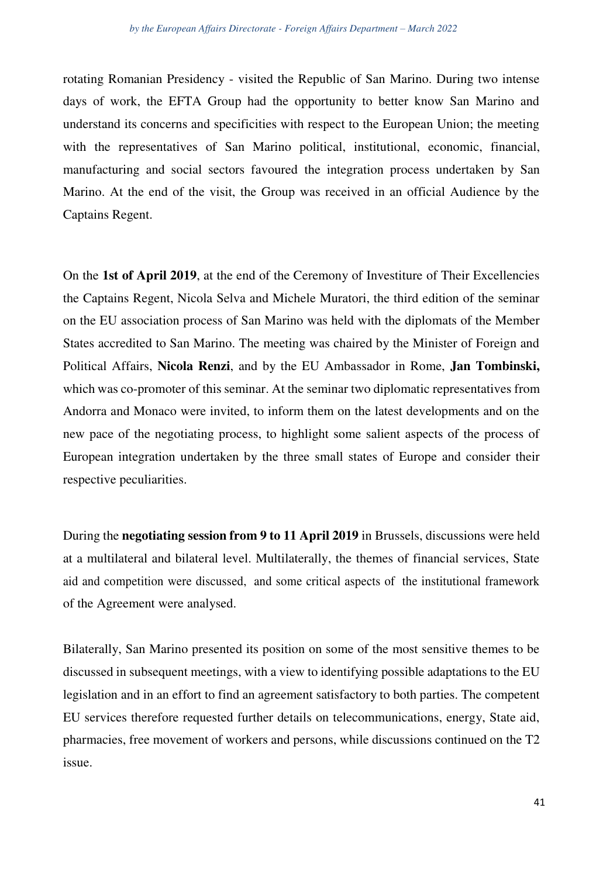rotating Romanian Presidency - visited the Republic of San Marino. During two intense days of work, the EFTA Group had the opportunity to better know San Marino and understand its concerns and specificities with respect to the European Union; the meeting with the representatives of San Marino political, institutional, economic, financial, manufacturing and social sectors favoured the integration process undertaken by San Marino. At the end of the visit, the Group was received in an official Audience by the Captains Regent.

On the **1st of April 2019**, at the end of the Ceremony of Investiture of Their Excellencies the Captains Regent, Nicola Selva and Michele Muratori, the third edition of the seminar on the EU association process of San Marino was held with the diplomats of the Member States accredited to San Marino. The meeting was chaired by the Minister of Foreign and Political Affairs, **Nicola Renzi**, and by the EU Ambassador in Rome, **Jan Tombinski,**  which was co-promoter of this seminar. At the seminar two diplomatic representatives from Andorra and Monaco were invited, to inform them on the latest developments and on the new pace of the negotiating process, to highlight some salient aspects of the process of European integration undertaken by the three small states of Europe and consider their respective peculiarities.

During the **negotiating session from 9 to 11 April 2019** in Brussels, discussions were held at a multilateral and bilateral level. Multilaterally, the themes of financial services, State aid and competition were discussed, and some critical aspects of the institutional framework of the Agreement were analysed.

Bilaterally, San Marino presented its position on some of the most sensitive themes to be discussed in subsequent meetings, with a view to identifying possible adaptations to the EU legislation and in an effort to find an agreement satisfactory to both parties. The competent EU services therefore requested further details on telecommunications, energy, State aid, pharmacies, free movement of workers and persons, while discussions continued on the T2 issue.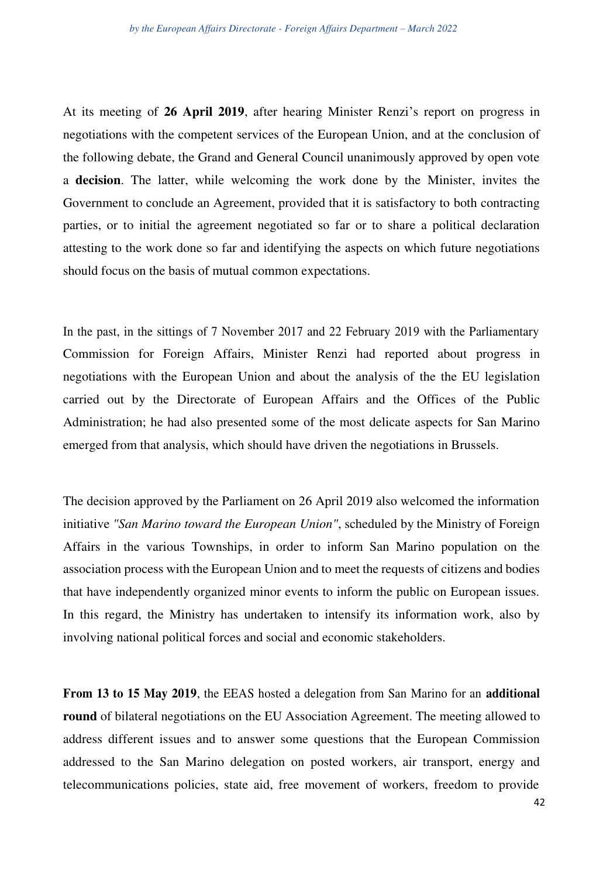At its meeting of **26 April 2019**, after hearing Minister Renzi's report on progress in negotiations with the competent services of the European Union, and at the conclusion of the following debate, the Grand and General Council unanimously approved by open vote a **decision**. The latter, while welcoming the work done by the Minister, invites the Government to conclude an Agreement, provided that it is satisfactory to both contracting parties, or to initial the agreement negotiated so far or to share a political declaration attesting to the work done so far and identifying the aspects on which future negotiations should focus on the basis of mutual common expectations.

In the past, in the sittings of 7 November 2017 and 22 February 2019 with the Parliamentary Commission for Foreign Affairs, Minister Renzi had reported about progress in negotiations with the European Union and about the analysis of the the EU legislation carried out by the Directorate of European Affairs and the Offices of the Public Administration; he had also presented some of the most delicate aspects for San Marino emerged from that analysis, which should have driven the negotiations in Brussels.

The decision approved by the Parliament on 26 April 2019 also welcomed the information initiative *"San Marino toward the European Union"*, scheduled by the Ministry of Foreign Affairs in the various Townships, in order to inform San Marino population on the association process with the European Union and to meet the requests of citizens and bodies that have independently organized minor events to inform the public on European issues. In this regard, the Ministry has undertaken to intensify its information work, also by involving national political forces and social and economic stakeholders.

**From 13 to 15 May 2019**, the EEAS hosted a delegation from San Marino for an **additional round** of bilateral negotiations on the EU Association Agreement. The meeting allowed to address different issues and to answer some questions that the European Commission addressed to the San Marino delegation on posted workers, air transport, energy and telecommunications policies, state aid, free movement of workers, freedom to provide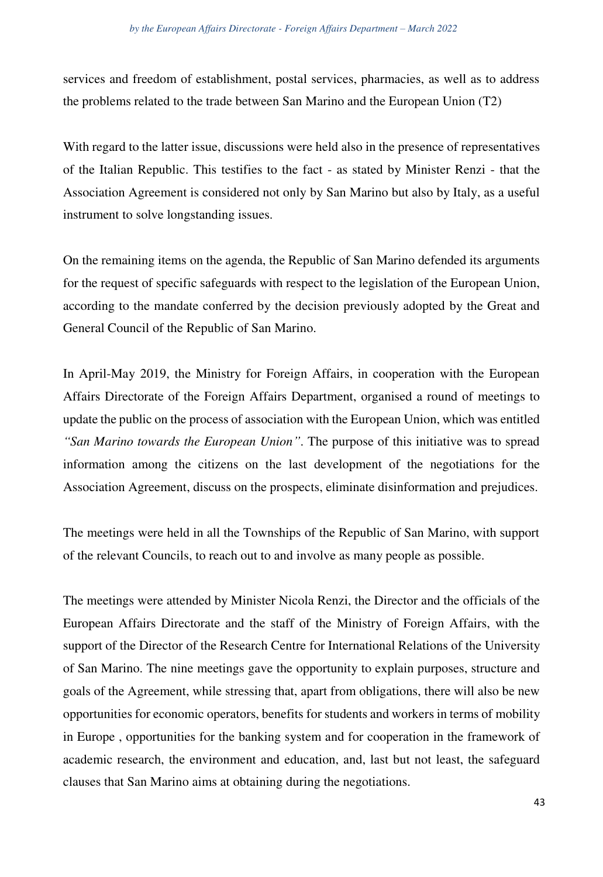services and freedom of establishment, postal services, pharmacies, as well as to address the problems related to the trade between San Marino and the European Union (T2)

With regard to the latter issue, discussions were held also in the presence of representatives of the Italian Republic. This testifies to the fact - as stated by Minister Renzi - that the Association Agreement is considered not only by San Marino but also by Italy, as a useful instrument to solve longstanding issues.

On the remaining items on the agenda, the Republic of San Marino defended its arguments for the request of specific safeguards with respect to the legislation of the European Union, according to the mandate conferred by the decision previously adopted by the Great and General Council of the Republic of San Marino.

In April-May 2019, the Ministry for Foreign Affairs, in cooperation with the European Affairs Directorate of the Foreign Affairs Department, organised a round of meetings to update the public on the process of association with the European Union, which was entitled *"San Marino towards the European Union"*. The purpose of this initiative was to spread information among the citizens on the last development of the negotiations for the Association Agreement, discuss on the prospects, eliminate disinformation and prejudices.

The meetings were held in all the Townships of the Republic of San Marino, with support of the relevant Councils, to reach out to and involve as many people as possible.

The meetings were attended by Minister Nicola Renzi, the Director and the officials of the European Affairs Directorate and the staff of the Ministry of Foreign Affairs, with the support of the Director of the Research Centre for International Relations of the University of San Marino. The nine meetings gave the opportunity to explain purposes, structure and goals of the Agreement, while stressing that, apart from obligations, there will also be new opportunities for economic operators, benefits for students and workers in terms of mobility in Europe , opportunities for the banking system and for cooperation in the framework of academic research, the environment and education, and, last but not least, the safeguard clauses that San Marino aims at obtaining during the negotiations.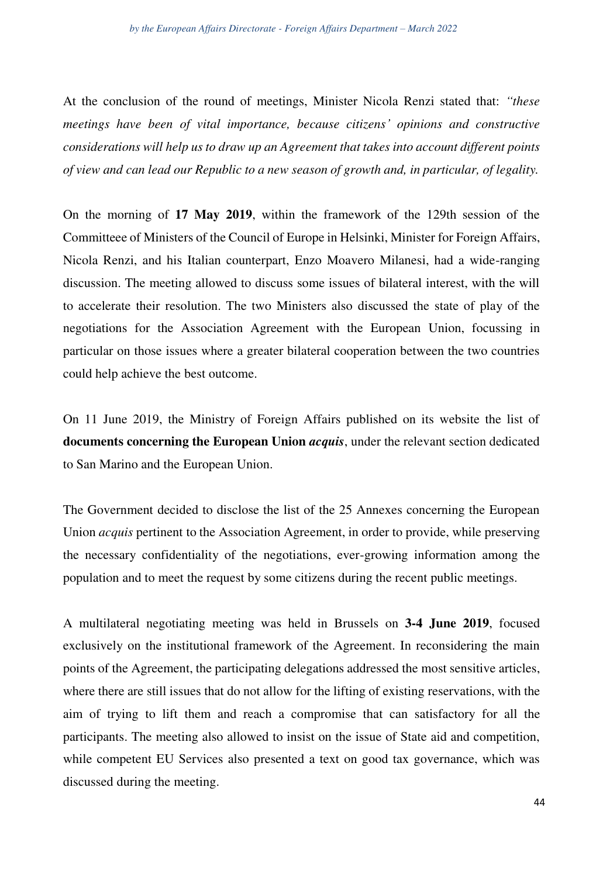At the conclusion of the round of meetings, Minister Nicola Renzi stated that: *"these meetings have been of vital importance, because citizens' opinions and constructive considerations will help us to draw up an Agreement that takes into account different points of view and can lead our Republic to a new season of growth and, in particular, of legality.* 

On the morning of **17 May 2019**, within the framework of the 129th session of the Committeee of Ministers of the Council of Europe in Helsinki, Minister for Foreign Affairs, Nicola Renzi, and his Italian counterpart, Enzo Moavero Milanesi, had a wide-ranging discussion. The meeting allowed to discuss some issues of bilateral interest, with the will to accelerate their resolution. The two Ministers also discussed the state of play of the negotiations for the Association Agreement with the European Union, focussing in particular on those issues where a greater bilateral cooperation between the two countries could help achieve the best outcome.

On 11 June 2019, the Ministry of Foreign Affairs published on its website the list of **documents concerning the European Union** *acquis*, under the relevant section dedicated to San Marino and the European Union.

The Government decided to disclose the list of the 25 Annexes concerning the European Union *acquis* pertinent to the Association Agreement, in order to provide, while preserving the necessary confidentiality of the negotiations, ever-growing information among the population and to meet the request by some citizens during the recent public meetings.

A multilateral negotiating meeting was held in Brussels on **3-4 June 2019**, focused exclusively on the institutional framework of the Agreement. In reconsidering the main points of the Agreement, the participating delegations addressed the most sensitive articles, where there are still issues that do not allow for the lifting of existing reservations, with the aim of trying to lift them and reach a compromise that can satisfactory for all the participants. The meeting also allowed to insist on the issue of State aid and competition, while competent EU Services also presented a text on good tax governance, which was discussed during the meeting.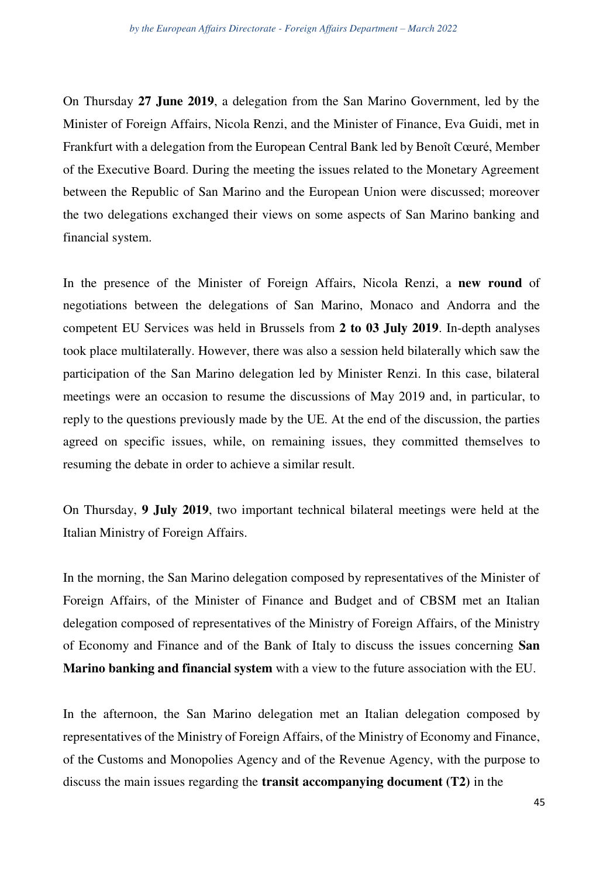On Thursday **27 June 2019**, a delegation from the San Marino Government, led by the Minister of Foreign Affairs, Nicola Renzi, and the Minister of Finance, Eva Guidi, met in Frankfurt with a delegation from the European Central Bank led by Benoît Cœuré, Member of the Executive Board. During the meeting the issues related to the Monetary Agreement between the Republic of San Marino and the European Union were discussed; moreover the two delegations exchanged their views on some aspects of San Marino banking and financial system.

In the presence of the Minister of Foreign Affairs, Nicola Renzi, a **new round** of negotiations between the delegations of San Marino, Monaco and Andorra and the competent EU Services was held in Brussels from **2 to 03 July 2019**. In-depth analyses took place multilaterally. However, there was also a session held bilaterally which saw the participation of the San Marino delegation led by Minister Renzi. In this case, bilateral meetings were an occasion to resume the discussions of May 2019 and, in particular, to reply to the questions previously made by the UE. At the end of the discussion, the parties agreed on specific issues, while, on remaining issues, they committed themselves to resuming the debate in order to achieve a similar result.

On Thursday, **9 July 2019**, two important technical bilateral meetings were held at the Italian Ministry of Foreign Affairs.

In the morning, the San Marino delegation composed by representatives of the Minister of Foreign Affairs, of the Minister of Finance and Budget and of CBSM met an Italian delegation composed of representatives of the Ministry of Foreign Affairs, of the Ministry of Economy and Finance and of the Bank of Italy to discuss the issues concerning **San Marino banking and financial system** with a view to the future association with the EU.

In the afternoon, the San Marino delegation met an Italian delegation composed by representatives of the Ministry of Foreign Affairs, of the Ministry of Economy and Finance, of the Customs and Monopolies Agency and of the Revenue Agency, with the purpose to discuss the main issues regarding the **transit accompanying document (T2)** in the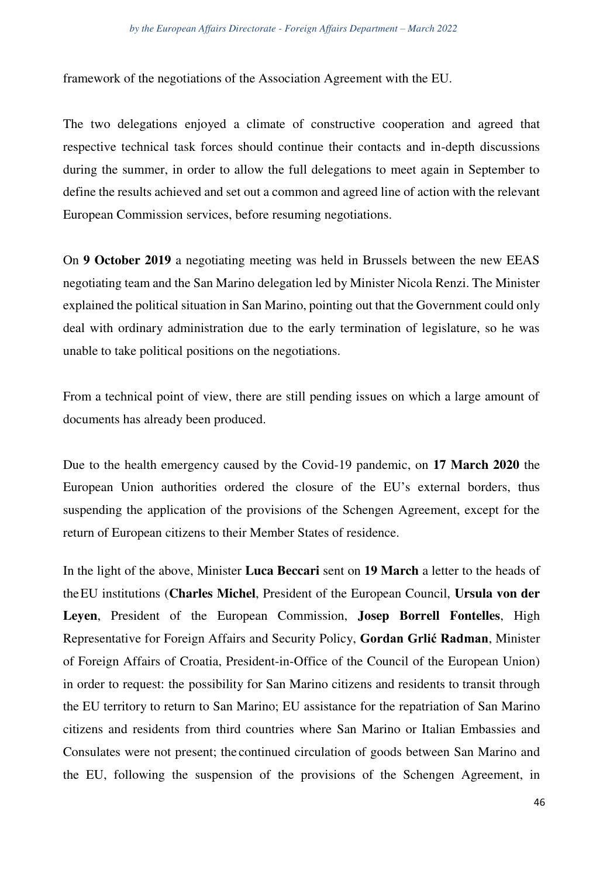framework of the negotiations of the Association Agreement with the EU.

The two delegations enjoyed a climate of constructive cooperation and agreed that respective technical task forces should continue their contacts and in-depth discussions during the summer, in order to allow the full delegations to meet again in September to define the results achieved and set out a common and agreed line of action with the relevant European Commission services, before resuming negotiations.

On **9 October 2019** a negotiating meeting was held in Brussels between the new EEAS negotiating team and the San Marino delegation led by Minister Nicola Renzi. The Minister explained the political situation in San Marino, pointing out that the Government could only deal with ordinary administration due to the early termination of legislature, so he was unable to take political positions on the negotiations.

From a technical point of view, there are still pending issues on which a large amount of documents has already been produced.

Due to the health emergency caused by the Covid-19 pandemic, on **17 March 2020** the European Union authorities ordered the closure of the EU's external borders, thus suspending the application of the provisions of the Schengen Agreement, except for the return of European citizens to their Member States of residence.

In the light of the above, Minister **Luca Beccari** sent on **19 March** a letter to the heads of the EU institutions (**Charles Michel**, President of the European Council, **Ursula von der Leyen**, President of the European Commission, **Josep Borrell Fontelles**, High Representative for Foreign Affairs and Security Policy, **Gordan Grlić Radman**, Minister of Foreign Affairs of Croatia, President-in-Office of the Council of the European Union) in order to request: the possibility for San Marino citizens and residents to transit through the EU territory to return to San Marino; EU assistance for the repatriation of San Marino citizens and residents from third countries where San Marino or Italian Embassies and Consulates were not present; the continued circulation of goods between San Marino and the EU, following the suspension of the provisions of the Schengen Agreement, in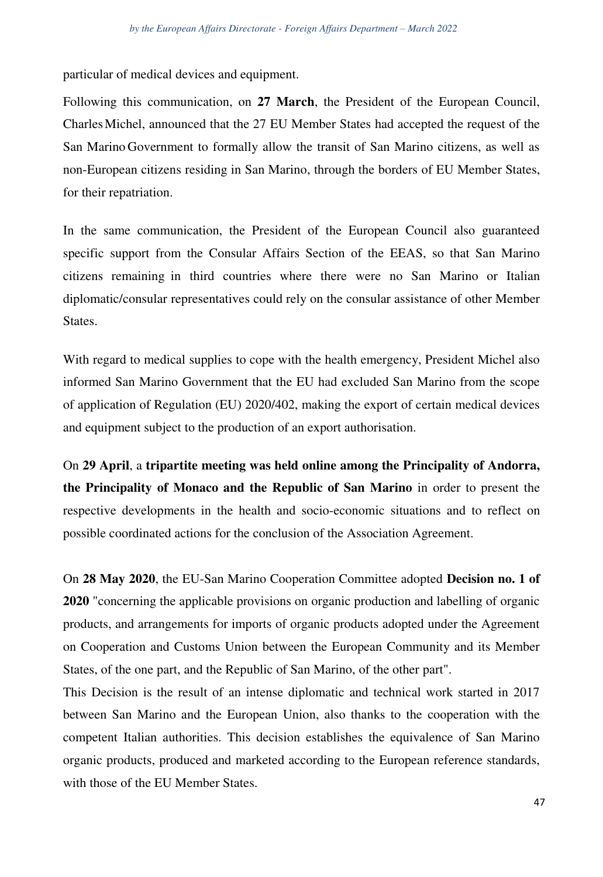particular of medical devices and equipment.

Following this communication, on **27 March**, the President of the European Council, Charles Michel, announced that the 27 EU Member States had accepted the request of the San Marino Government to formally allow the transit of San Marino citizens, as well as non-European citizens residing in San Marino, through the borders of EU Member States, for their repatriation.

In the same communication, the President of the European Council also guaranteed specific support from the Consular Affairs Section of the EEAS, so that San Marino citizens remaining in third countries where there were no San Marino or Italian diplomatic/consular representatives could rely on the consular assistance of other Member States.

With regard to medical supplies to cope with the health emergency, President Michel also informed San Marino Government that the EU had excluded San Marino from the scope of application of Regulation (EU) 2020/402, making the export of certain medical devices and equipment subject to the production of an export authorisation.

On **29 April**, a **tripartite meeting was held online among the Principality of Andorra, the Principality of Monaco and the Republic of San Marino** in order to present the respective developments in the health and socio-economic situations and to reflect on possible coordinated actions for the conclusion of the Association Agreement.

On **28 May 2020**, the EU-San Marino Cooperation Committee adopted **Decision no. 1 of 2020** "concerning the applicable provisions on organic production and labelling of organic products, and arrangements for imports of organic products adopted under the Agreement on Cooperation and Customs Union between the European Community and its Member States, of the one part, and the Republic of San Marino, of the other part".

This Decision is the result of an intense diplomatic and technical work started in 2017 between San Marino and the European Union, also thanks to the cooperation with the competent Italian authorities. This decision establishes the equivalence of San Marino organic products, produced and marketed according to the European reference standards, with those of the EU Member States.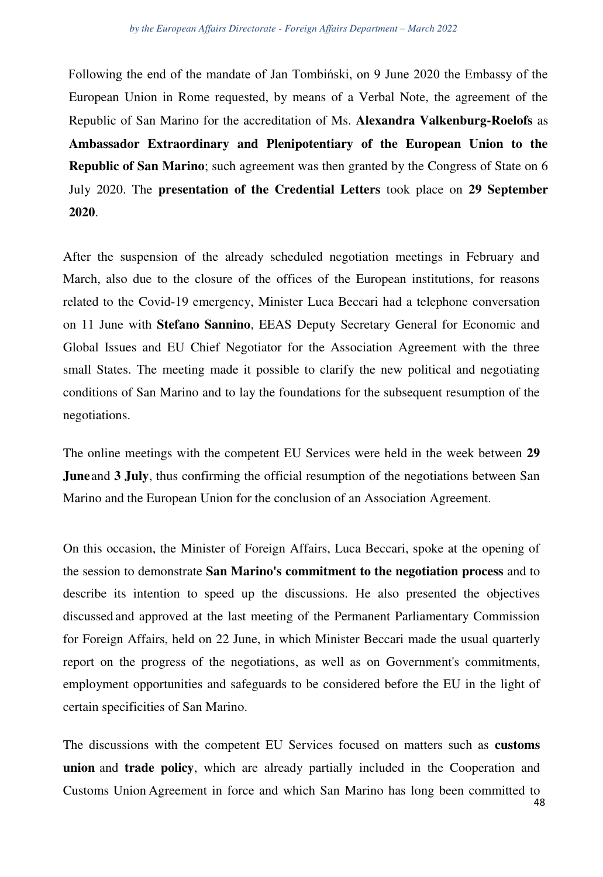Following the end of the mandate of Jan Tombiński, on 9 June 2020 the Embassy of the European Union in Rome requested, by means of a Verbal Note, the agreement of the Republic of San Marino for the accreditation of Ms. **Alexandra Valkenburg-Roelofs** as **Ambassador Extraordinary and Plenipotentiary of the European Union to the Republic of San Marino**; such agreement was then granted by the Congress of State on 6 July 2020. The **presentation of the Credential Letters** took place on **29 September 2020**.

After the suspension of the already scheduled negotiation meetings in February and March, also due to the closure of the offices of the European institutions, for reasons related to the Covid-19 emergency, Minister Luca Beccari had a telephone conversation on 11 June with **Stefano Sannino**, EEAS Deputy Secretary General for Economic and Global Issues and EU Chief Negotiator for the Association Agreement with the three small States. The meeting made it possible to clarify the new political and negotiating conditions of San Marino and to lay the foundations for the subsequent resumption of the negotiations.

The online meetings with the competent EU Services were held in the week between **29 June and 3 July**, thus confirming the official resumption of the negotiations between San Marino and the European Union for the conclusion of an Association Agreement.

On this occasion, the Minister of Foreign Affairs, Luca Beccari, spoke at the opening of the session to demonstrate **San Marino's commitment to the negotiation process** and to describe its intention to speed up the discussions. He also presented the objectives discussed and approved at the last meeting of the Permanent Parliamentary Commission for Foreign Affairs, held on 22 June, in which Minister Beccari made the usual quarterly report on the progress of the negotiations, as well as on Government's commitments, employment opportunities and safeguards to be considered before the EU in the light of certain specificities of San Marino.

The discussions with the competent EU Services focused on matters such as **customs union** and **trade policy**, which are already partially included in the Cooperation and Customs Union Agreement in force and which San Marino has long been committed to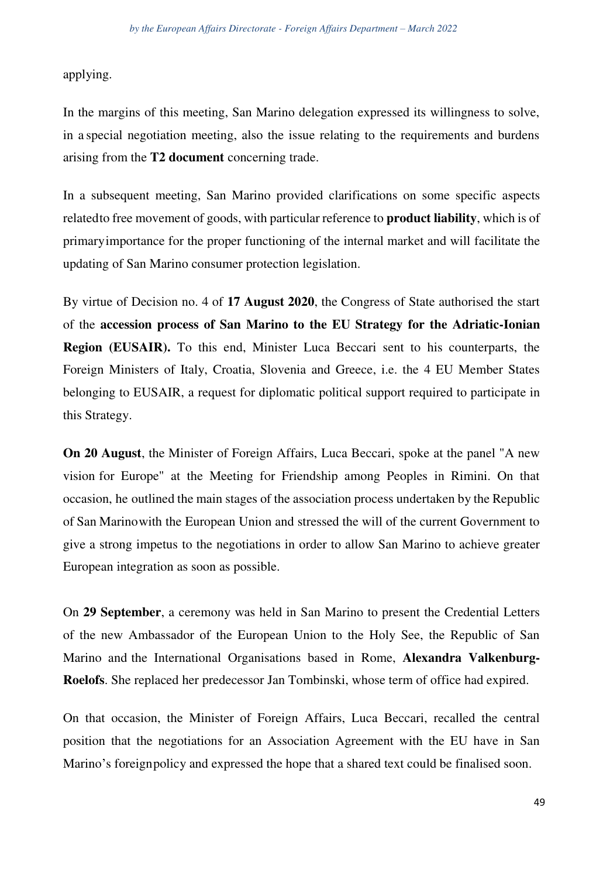applying.

In the margins of this meeting, San Marino delegation expressed its willingness to solve, in a special negotiation meeting, also the issue relating to the requirements and burdens arising from the **T2 document** concerning trade.

In a subsequent meeting, San Marino provided clarifications on some specific aspects relatedto free movement of goods, with particular reference to **product liability**, which is of primary importance for the proper functioning of the internal market and will facilitate the updating of San Marino consumer protection legislation.

By virtue of Decision no. 4 of **17 August 2020**, the Congress of State authorised the start of the **accession process of San Marino to the EU Strategy for the Adriatic-Ionian Region (EUSAIR).** To this end, Minister Luca Beccari sent to his counterparts, the Foreign Ministers of Italy, Croatia, Slovenia and Greece, i.e. the 4 EU Member States belonging to EUSAIR, a request for diplomatic political support required to participate in this Strategy.

**On 20 August**, the Minister of Foreign Affairs, Luca Beccari, spoke at the panel "A new vision for Europe" at the Meeting for Friendship among Peoples in Rimini. On that occasion, he outlined the main stages of the association process undertaken by the Republic of San Marino with the European Union and stressed the will of the current Government to give a strong impetus to the negotiations in order to allow San Marino to achieve greater European integration as soon as possible.

On **29 September**, a ceremony was held in San Marino to present the Credential Letters of the new Ambassador of the European Union to the Holy See, the Republic of San Marino and the International Organisations based in Rome, **Alexandra Valkenburg-Roelofs**. She replaced her predecessor Jan Tombinski, whose term of office had expired.

On that occasion, the Minister of Foreign Affairs, Luca Beccari, recalled the central position that the negotiations for an Association Agreement with the EU have in San Marino's foreign policy and expressed the hope that a shared text could be finalised soon.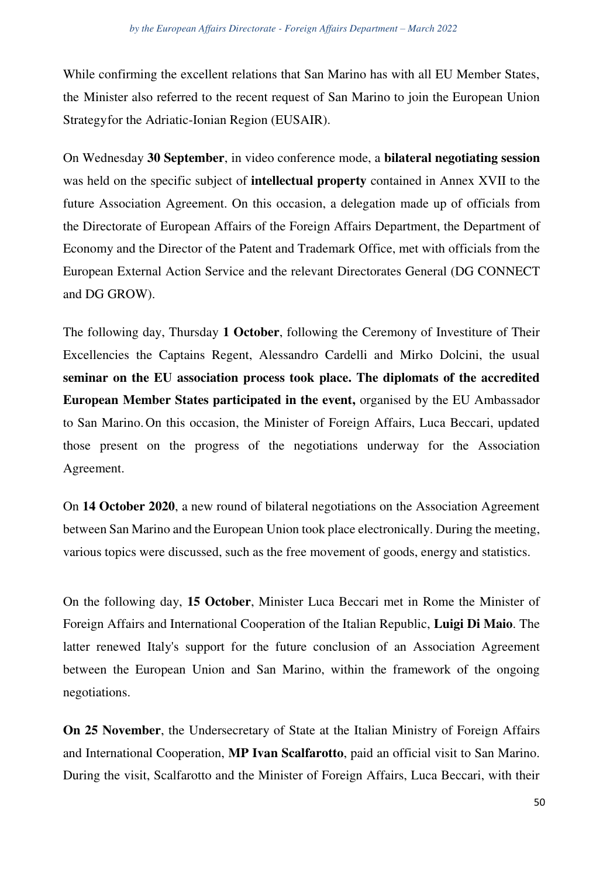While confirming the excellent relations that San Marino has with all EU Member States, the Minister also referred to the recent request of San Marino to join the European Union Strategy for the Adriatic-Ionian Region (EUSAIR).

On Wednesday **30 September**, in video conference mode, a **bilateral negotiating session**  was held on the specific subject of **intellectual property** contained in Annex XVII to the future Association Agreement. On this occasion, a delegation made up of officials from the Directorate of European Affairs of the Foreign Affairs Department, the Department of Economy and the Director of the Patent and Trademark Office, met with officials from the European External Action Service and the relevant Directorates General (DG CONNECT and DG GROW).

The following day, Thursday **1 October**, following the Ceremony of Investiture of Their Excellencies the Captains Regent, Alessandro Cardelli and Mirko Dolcini, the usual **seminar on the EU association process took place. The diplomats of the accredited European Member States participated in the event,** organised by the EU Ambassador to San Marino. On this occasion, the Minister of Foreign Affairs, Luca Beccari, updated those present on the progress of the negotiations underway for the Association Agreement.

On **14 October 2020**, a new round of bilateral negotiations on the Association Agreement between San Marino and the European Union took place electronically. During the meeting, various topics were discussed, such as the free movement of goods, energy and statistics.

On the following day, **15 October**, Minister Luca Beccari met in Rome the Minister of Foreign Affairs and International Cooperation of the Italian Republic, **Luigi Di Maio**. The latter renewed Italy's support for the future conclusion of an Association Agreement between the European Union and San Marino, within the framework of the ongoing negotiations.

**On 25 November**, the Undersecretary of State at the Italian Ministry of Foreign Affairs and International Cooperation, **MP Ivan Scalfarotto**, paid an official visit to San Marino. During the visit, Scalfarotto and the Minister of Foreign Affairs, Luca Beccari, with their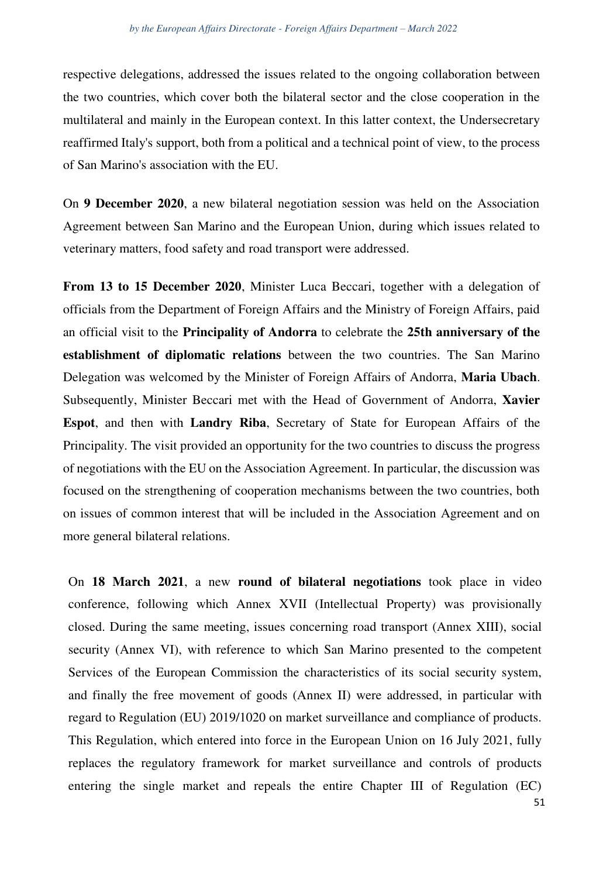respective delegations, addressed the issues related to the ongoing collaboration between the two countries, which cover both the bilateral sector and the close cooperation in the multilateral and mainly in the European context. In this latter context, the Undersecretary reaffirmed Italy's support, both from a political and a technical point of view, to the process of San Marino's association with the EU.

On **9 December 2020**, a new bilateral negotiation session was held on the Association Agreement between San Marino and the European Union, during which issues related to veterinary matters, food safety and road transport were addressed.

**From 13 to 15 December 2020**, Minister Luca Beccari, together with a delegation of officials from the Department of Foreign Affairs and the Ministry of Foreign Affairs, paid an official visit to the **Principality of Andorra** to celebrate the **25th anniversary of the establishment of diplomatic relations** between the two countries. The San Marino Delegation was welcomed by the Minister of Foreign Affairs of Andorra, **Maria Ubach**. Subsequently, Minister Beccari met with the Head of Government of Andorra, **Xavier Espot**, and then with **Landry Riba**, Secretary of State for European Affairs of the Principality. The visit provided an opportunity for the two countries to discuss the progress of negotiations with the EU on the Association Agreement. In particular, the discussion was focused on the strengthening of cooperation mechanisms between the two countries, both on issues of common interest that will be included in the Association Agreement and on more general bilateral relations.

On **18 March 2021**, a new **round of bilateral negotiations** took place in video conference, following which Annex XVII (Intellectual Property) was provisionally closed. During the same meeting, issues concerning road transport (Annex XIII), social security (Annex VI), with reference to which San Marino presented to the competent Services of the European Commission the characteristics of its social security system, and finally the free movement of goods (Annex II) were addressed, in particular with regard to Regulation (EU) 2019/1020 on market surveillance and compliance of products. This Regulation, which entered into force in the European Union on 16 July 2021, fully replaces the regulatory framework for market surveillance and controls of products entering the single market and repeals the entire Chapter III of Regulation (EC)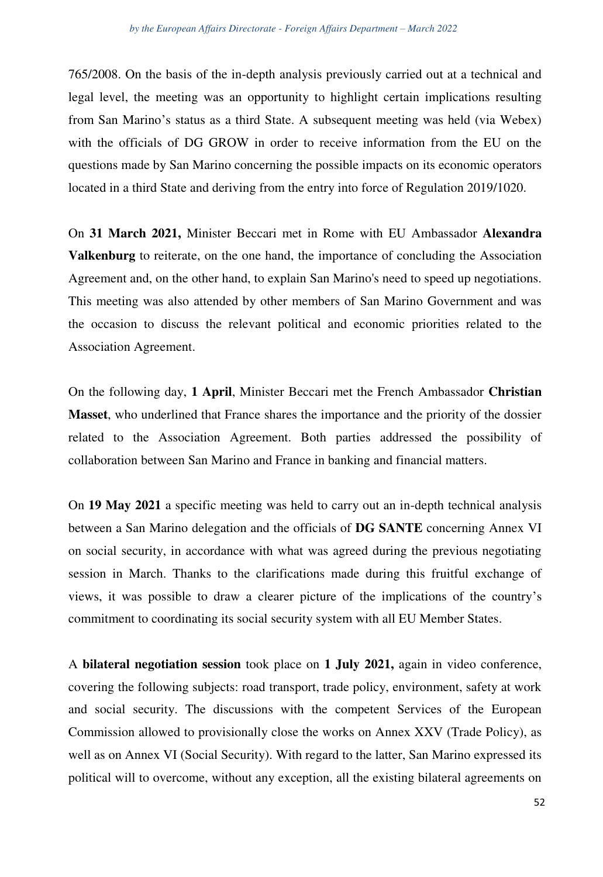765/2008. On the basis of the in-depth analysis previously carried out at a technical and legal level, the meeting was an opportunity to highlight certain implications resulting from San Marino's status as a third State. A subsequent meeting was held (via Webex) with the officials of DG GROW in order to receive information from the EU on the questions made by San Marino concerning the possible impacts on its economic operators located in a third State and deriving from the entry into force of Regulation 2019/1020.

On **31 March 2021,** Minister Beccari met in Rome with EU Ambassador **Alexandra Valkenburg** to reiterate, on the one hand, the importance of concluding the Association Agreement and, on the other hand, to explain San Marino's need to speed up negotiations. This meeting was also attended by other members of San Marino Government and was the occasion to discuss the relevant political and economic priorities related to the Association Agreement.

On the following day, **1 April**, Minister Beccari met the French Ambassador **Christian Masset**, who underlined that France shares the importance and the priority of the dossier related to the Association Agreement. Both parties addressed the possibility of collaboration between San Marino and France in banking and financial matters.

On **19 May 2021** a specific meeting was held to carry out an in-depth technical analysis between a San Marino delegation and the officials of **DG SANTE** concerning Annex VI on social security, in accordance with what was agreed during the previous negotiating session in March. Thanks to the clarifications made during this fruitful exchange of views, it was possible to draw a clearer picture of the implications of the country's commitment to coordinating its social security system with all EU Member States.

A **bilateral negotiation session** took place on **1 July 2021,** again in video conference, covering the following subjects: road transport, trade policy, environment, safety at work and social security. The discussions with the competent Services of the European Commission allowed to provisionally close the works on Annex XXV (Trade Policy), as well as on Annex VI (Social Security). With regard to the latter, San Marino expressed its political will to overcome, without any exception, all the existing bilateral agreements on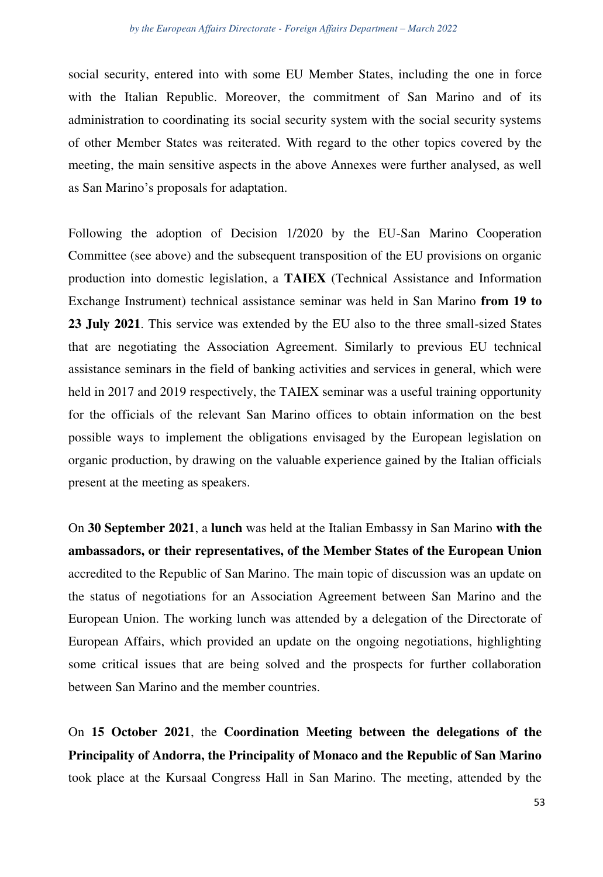social security, entered into with some EU Member States, including the one in force with the Italian Republic. Moreover, the commitment of San Marino and of its administration to coordinating its social security system with the social security systems of other Member States was reiterated. With regard to the other topics covered by the meeting, the main sensitive aspects in the above Annexes were further analysed, as well as San Marino's proposals for adaptation.

Following the adoption of Decision 1/2020 by the EU-San Marino Cooperation Committee (see above) and the subsequent transposition of the EU provisions on organic production into domestic legislation, a **TAIEX** (Technical Assistance and Information Exchange Instrument) technical assistance seminar was held in San Marino **from 19 to 23 July 2021**. This service was extended by the EU also to the three small-sized States that are negotiating the Association Agreement. Similarly to previous EU technical assistance seminars in the field of banking activities and services in general, which were held in 2017 and 2019 respectively, the TAIEX seminar was a useful training opportunity for the officials of the relevant San Marino offices to obtain information on the best possible ways to implement the obligations envisaged by the European legislation on organic production, by drawing on the valuable experience gained by the Italian officials present at the meeting as speakers.

On **30 September 2021**, a **lunch** was held at the Italian Embassy in San Marino **with the ambassadors, or their representatives, of the Member States of the European Union** accredited to the Republic of San Marino. The main topic of discussion was an update on the status of negotiations for an Association Agreement between San Marino and the European Union. The working lunch was attended by a delegation of the Directorate of European Affairs, which provided an update on the ongoing negotiations, highlighting some critical issues that are being solved and the prospects for further collaboration between San Marino and the member countries.

On **15 October 2021**, the **Coordination Meeting between the delegations of the Principality of Andorra, the Principality of Monaco and the Republic of San Marino** took place at the Kursaal Congress Hall in San Marino. The meeting, attended by the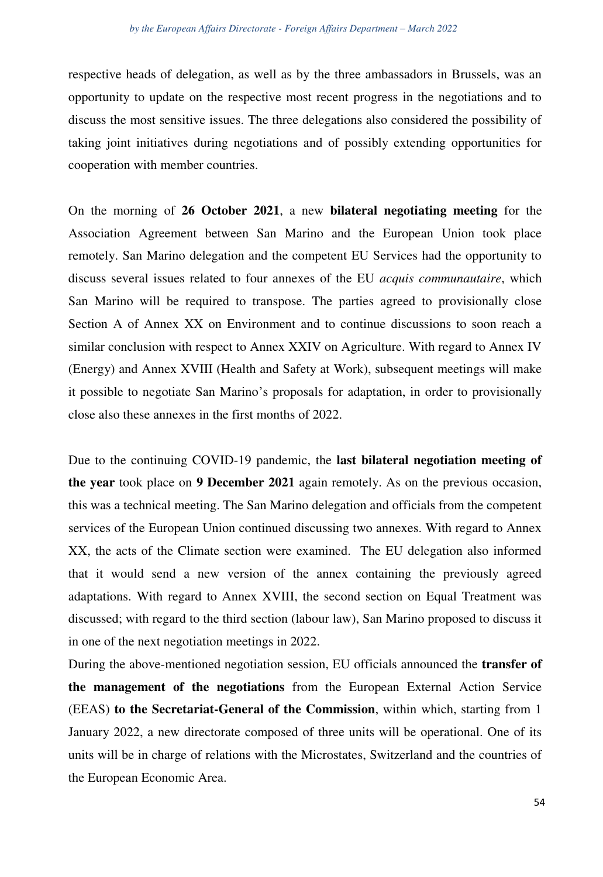respective heads of delegation, as well as by the three ambassadors in Brussels, was an opportunity to update on the respective most recent progress in the negotiations and to discuss the most sensitive issues. The three delegations also considered the possibility of taking joint initiatives during negotiations and of possibly extending opportunities for cooperation with member countries.

On the morning of **26 October 2021**, a new **bilateral negotiating meeting** for the Association Agreement between San Marino and the European Union took place remotely. San Marino delegation and the competent EU Services had the opportunity to discuss several issues related to four annexes of the EU *acquis communautaire*, which San Marino will be required to transpose. The parties agreed to provisionally close Section A of Annex XX on Environment and to continue discussions to soon reach a similar conclusion with respect to Annex XXIV on Agriculture. With regard to Annex IV (Energy) and Annex XVIII (Health and Safety at Work), subsequent meetings will make it possible to negotiate San Marino's proposals for adaptation, in order to provisionally close also these annexes in the first months of 2022.

Due to the continuing COVID-19 pandemic, the **last bilateral negotiation meeting of the year** took place on **9 December 2021** again remotely. As on the previous occasion, this was a technical meeting. The San Marino delegation and officials from the competent services of the European Union continued discussing two annexes. With regard to Annex XX, the acts of the Climate section were examined. The EU delegation also informed that it would send a new version of the annex containing the previously agreed adaptations. With regard to Annex XVIII, the second section on Equal Treatment was discussed; with regard to the third section (labour law), San Marino proposed to discuss it in one of the next negotiation meetings in 2022.

During the above-mentioned negotiation session, EU officials announced the **transfer of the management of the negotiations** from the European External Action Service (EEAS) **to the Secretariat-General of the Commission**, within which, starting from 1 January 2022, a new directorate composed of three units will be operational. One of its units will be in charge of relations with the Microstates, Switzerland and the countries of the European Economic Area.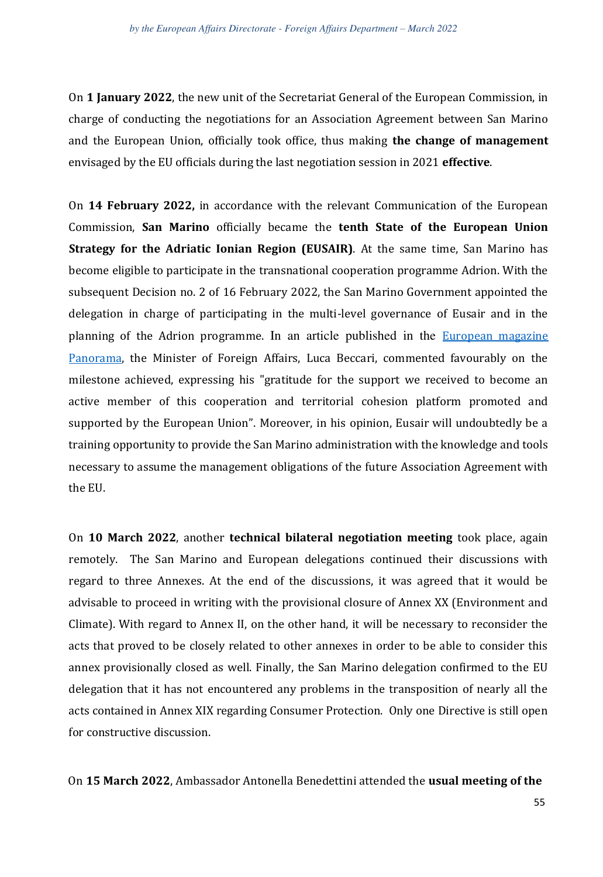On **1 January 2022**, the new unit of the Secretariat General of the European Commission, in charge of conducting the negotiations for an Association Agreement between San Marino and the European Union, officially took office, thus making **the change of management** envisaged by the EU officials during the last negotiation session in 2021 **effective**.

On **14 February 2022,** in accordance with the relevant Communication of the European Commission, **San Marino** officially became the **tenth State of the European Union Strategy for the Adriatic Ionian Region (EUSAIR)**. At the same time, San Marino has become eligible to participate in the transnational cooperation programme Adrion. With the subsequent Decision no. 2 of 16 February 2022, the San Marino Government appointed the delegation in charge of participating in the multi-level governance of Eusair and in the planning of the Adrion programme. In an article published in the [European magazine](https://ec.europa.eu/regional_policy/en/newsroom/panorama/2022/03/03-02-2022-san-marino-welcomes-inclusion-in-eusair)  [Panorama,](https://ec.europa.eu/regional_policy/en/newsroom/panorama/2022/03/03-02-2022-san-marino-welcomes-inclusion-in-eusair) the Minister of Foreign Affairs, Luca Beccari, commented favourably on the milestone achieved, expressing his "gratitude for the support we received to become an active member of this cooperation and territorial cohesion platform promoted and supported by the European Union". Moreover, in his opinion, Eusair will undoubtedly be a training opportunity to provide the San Marino administration with the knowledge and tools necessary to assume the management obligations of the future Association Agreement with the EU.

On **10 March 2022**, another **technical bilateral negotiation meeting** took place, again remotely. The San Marino and European delegations continued their discussions with regard to three Annexes. At the end of the discussions, it was agreed that it would be advisable to proceed in writing with the provisional closure of Annex XX (Environment and Climate). With regard to Annex II, on the other hand, it will be necessary to reconsider the acts that proved to be closely related to other annexes in order to be able to consider this annex provisionally closed as well. Finally, the San Marino delegation confirmed to the EU delegation that it has not encountered any problems in the transposition of nearly all the acts contained in Annex XIX regarding Consumer Protection. Only one Directive is still open for constructive discussion.

On **15 March 2022**, Ambassador Antonella Benedettini attended the **usual meeting of the**